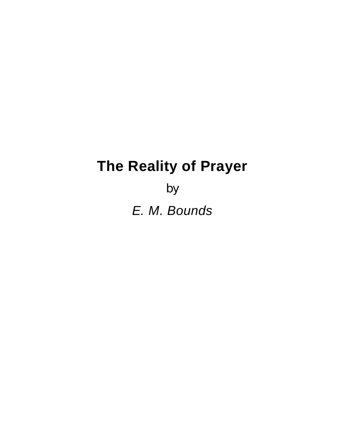# **The Reality of Prayer**

by *E. M. Bounds*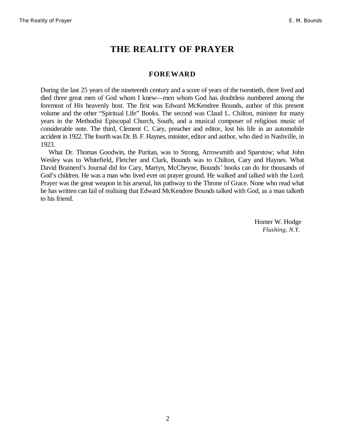# **THE REALITY OF PRAYER**

### **FOREWARD**

During the last 25 years of the nineteenth century and a score of years of the twentieth, there lived and died three great men of God whom I knew—men whom God has doubtless numbered among the foremost of His heavenly host. The first was Edward McKendree Bounds, author of this present volume and the other "Spiritual Life" Books. The second was Claud L. Chilton, minister for many years in the Methodist Episcopal Church, South, and a musical composer of religious music of considerable note. The third, Clement C. Cary, preacher and editor, lost his life in an automobile accident in 1922. The fourth was Dr. B. F. Haynes, minister, editor and author, who died in Nashville, in 1923.

What Dr. Thomas Goodwin, the Puritan, was to Strong, Arrowsmith and Sparstow; what John Wesley was to Whitefield, Fletcher and Clark, Bounds was to Chilton, Cary and Haynes. What David Brainerd's Journal did for Cary, Martyn, McCheyne, Bounds' books can do for thousands of God's children. He was a man who lived ever on prayer ground. He walked and talked with the Lord. Prayer was the great weapon in his arsenal, his pathway to the Throne of Grace. None who read what he has written can fail of realising that Edward McKendree Bounds talked with God, as a man talketh to his friend.

> Homer W. Hodge *Flushing, N.Y.*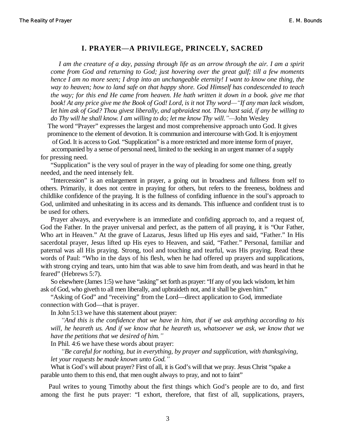#### **I. PRAYER²A PRIVILEGE, PRINCELY, SACRED**

*I am the creature of a day, passing through life as an arrow through the air. I am a spirit come from God and returning to God; just hovering over the great gulf; till a few moments hence I am no more seen; I drop into an unchangeable eternity! I want to know one thing, the way to heaven; how to land safe on that happy shore. God Himself has condescended to teach the way; for this end He came from heaven. He hath written it down in a book. give me that book! At any price give me the Book of God! Lord, is it not Thy word—"If any man lack wisdom, let him ask of God? Thou givest liberally, and upbraidest not. Thou hast said, if any be willing to do Thy will he shall know. I am willing to do; let me know Thy will.´²*John Wesley

The word "Prayer" expresses the largest and most comprehensive approach unto God. It gives prominence to the element of devotion. It is communion and intercourse with God. It is enjoyment

of God. It is access to God. "Supplication" is a more restricted and more intense form of prayer, accompanied by a sense of personal need, limited to the seeking in an urgent manner of a supply for pressing need.

"Supplication" is the very soul of prayer in the way of pleading for some one thing, greatly needed, and the need intensely felt.

"Intercession" is an enlargement in prayer, a going out in broadness and fullness from self to others. Primarily, it does not centre in praying for others, but refers to the freeness, boldness and childlike confidence of the praying. It is the fullness of confiding influence in the soul's approach to God, unlimited and unhesitating in its access and its demands. This influence and confident trust is to be used for others.

Prayer always, and everywhere is an immediate and confiding approach to, and a request of, God the Father. In the prayer universal and perfect, as the pattern of all praying, it is "Our Father, Who art in Heaven." At the grave of Lazarus, Jesus lifted up His eyes and said, "Father." In His sacerdotal prayer, Jesus lifted up His eyes to Heaven, and said, "Father." Personal, familiar and paternal was all His praying. Strong, tool and touching and tearful, was His praying. Read these words of Paul: "Who in the days of his flesh, when he had offered up prayers and supplications, with strong crying and tears, unto him that was able to save him from death, and was heard in that he feared" (Hebrews 5:7).

So elsewhere (James 1:5) we have "asking" set forth as prayer: "If any of you lack wisdom, let him ask of God, who giveth to all men liberally, and upbraideth not, and it shall be given him."

"Asking of God" and "receiving" from the Lord—direct application to God, immediate connection with God—that is prayer.

In John 5:13 we have this statement about prayer:

*³And this is the confidence that we have in him, that if we ask anything according to his will, he heareth us. And if we know that he heareth us, whatsoever we ask, we know that we have the petitions that we desired of him.´*

In Phil. 4:6 we have these words about prayer:

*³Be careful for nothing, but in everything, by prayer and supplication, with thanksgiving, let your requests be made known unto God.´*

What is God's will about prayer? First of all, it is God's will that we pray. Jesus Christ "spake a parable unto them to this end, that men ought always to pray, and not to faint"

Paul writes to young Timothy about the first things which God's people are to do, and first among the first he puts prayer: "I exhort, therefore, that first of all, supplications, prayers,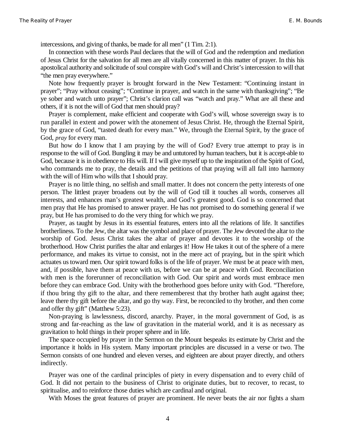intercessions, and giving of thanks, be made for all men" (1 Tim. 2:1).

In connection with these words Paul declares that the will of God and the redemption and mediation of Jesus Christ for the salvation for all men are all vitally concerned in this matter of prayer. In this his apostolical authority and solicitude of soul conspire with God's will and Christ's intercession to will that "the men pray everywhere."

Note how frequently prayer is brought forward in the New Testament: "Continuing instant in prayer"; "Pray without ceasing"; "Continue in prayer, and watch in the same with thanksgiving"; "Be ye sober and watch unto prayer"; Christ's clarion call was "watch and pray." What are all these and others, if it is not the will of God that men should pray?

Prayer is complement, make efficient and cooperate with God's will, whose sovereign sway is to run parallel in extent and power with the atonement of Jesus Christ. He, through the Eternal Spirit, by the grace of God, "tasted death for every man." We, through the Eternal Spirit, by the grace of God, *pray* for every man.

But how do I know that I am praying by the will of God? Every true attempt to pray is in response to the will of God. Bungling it may be and untutored by human teachers, but it is accept-able to God, because it is in obedience to His will. If I will give myself up to the inspiration of the Spirit of God, who commands me to pray, the details and the petitions of that praying will all fall into harmony with the will of Him who wills that I should pray.

Prayer is no little thing, no selfish and small matter. It does not concern the petty interests of one person. The littlest prayer broadens out by the will of God till it touches all words, conserves all interests, and enhances man's greatest wealth, and God's greatest good. God is so concerned that men pray that He has promised to answer prayer. He has not promised to do something general if we pray, but He has promised to do the very thing for which we pray.

Prayer, as taught by Jesus in its essential features, enters into all the relations of life. It sanctifies brotherliness. To the Jew, the altar was the symbol and place of prayer. The Jew devoted the altar to the worship of God. Jesus Christ takes the altar of prayer and devotes it to the worship of the brotherhood. How Christ purifies the altar and enlarges it! How He takes it out of the sphere of a mere performance, and makes its virtue to consist, not in the mere act of praying, but in the spirit which actuates us toward men. Our spirit toward folks is of the life of prayer. We must be at peace with men, and, if possible, have them at peace with us, before we can be at peace with God. Reconciliation with men is the forerunner of reconciliation with God. Our spirit and words must embrace men before they can embrace God. Unity with the brotherhood goes before unity with God. "Therefore, if thou bring thy gift to the altar, and there rememberest that thy brother hath aught against thee; leave there thy gift before the altar, and go thy way. First, be reconciled to thy brother, and then come and offer thy gift" (Matthew 5:23).

Non-praying is lawlessness, discord, anarchy. Prayer, in the moral government of God, is as strong and far-reaching as the law of gravitation in the material world, and it is as necessary as gravitation to hold things in their proper sphere and in life.

The space occupied by prayer in the Sermon on the Mount bespeaks its estimate by Christ and the importance it holds in His system. Many important principles are discussed in a verse or two. The Sermon consists of one hundred and eleven verses, and eighteen are about prayer directly, and others indirectly.

Prayer was one of the cardinal principles of piety in every dispensation and to every child of God. It did not pertain to the business of Christ to originate duties, but to recover, to recast, to spiritualise, and to reinforce those duties which are cardinal and original.

With Moses the great features of prayer are prominent. He never beats the air nor fights a sham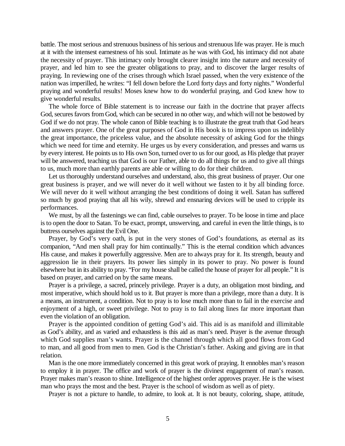battle. The most serious and strenuous business of his serious and strenuous life was prayer. He is much at it with the intensest earnestness of his soul. Intimate as he was with God, his intimacy did not abate the necessity of prayer. This intimacy only brought clearer insight into the nature and necessity of prayer, and led him to see the greater obligations to pray, and to discover the larger results of praying. In reviewing one of the crises through which Israel passed, when the very existence of the nation was imperilled, he writes: "I fell down before the Lord forty days and forty nights." Wonderful praying and wonderful results! Moses knew how to do wonderful praying, and God knew how to give wonderful results.

The whole force of Bible statement is to increase our faith in the doctrine that prayer affects God, secures favors from God, which can be secured in no other way, and which will not be bestowed by God if we do not pray. The whole canon of Bible teaching is to illustrate the great truth that God hears and answers prayer. One of the great purposes of God in His book is to impress upon us indelibly the great importance, the priceless value, and the absolute necessity of asking God for the things which we need for time and eternity. He urges us by every consideration, and presses and warns us by every interest. He points us to His own Son, turned over to us for our good, as His pledge that prayer will be answered, teaching us that God is our Father, able to do all things for us and to give all things to us, much more than earthly parents are able or willing to do for their children.

Let us thoroughly understand ourselves and understand, also, this great business of prayer. Our one great business is prayer, and we will never do it well without we fasten to it by all binding force. We will never do it well without arranging the best conditions of doing it well. Satan has suffered so much by good praying that all his wily, shrewd and ensnaring devices will be used to cripple its performances.

We must, by all the fastenings we can find, cable ourselves to prayer. To be loose in time and place is to open the door to Satan. To be exact, prompt, unswerving, and careful in even the little things, is to buttress ourselves against the Evil One.

Prayer, by God's very oath, is put in the very stones of God's foundations, as eternal as its companion, "And men shall pray for him continually." This is the eternal condition which advances His cause, and makes it powerfully aggressive. Men are to always pray for it. Its strength, beauty and aggression lie in their prayers. Its power lies simply in its power to pray. No power is found elsewhere but in its ability to pray. "For my house shall be called the house of prayer for all people." It is based on prayer, and carried on by the same means.

Prayer is a privilege, a sacred, princely privilege. Prayer is a duty, an obligation most binding, and most imperative, which should hold us to it. But prayer is more than a privilege, more than a duty. It is a means, an instrument, a condition. Not to pray is to lose much more than to fail in the exercise and enjoyment of a high, or sweet privilege. Not to pray is to fail along lines far more important than even the violation of an obligation.

Prayer is the appointed condition of getting God's aid. This aid is as manifold and illimitable as God's ability, and as varied and exhaustless is this aid as man's need. Prayer is the avenue through which God supplies man's wants. Prayer is the channel through which all good flows from God to man, and all good from men to men. God is the Christian's father. Asking and giving are in that relation.

Man is the one more immediately concerned in this great work of praying. It ennobles man's reason to employ it in prayer. The office and work of prayer is the divinest engagement of man's reason. Prayer makes man's reason to shine. Intelligence of the highest order approves prayer. He is the wisest man who prays the most and the best. Prayer is the school of wisdom as well as of piety.

Prayer is not a picture to handle, to admire, to look at. It is not beauty, coloring, shape, attitude,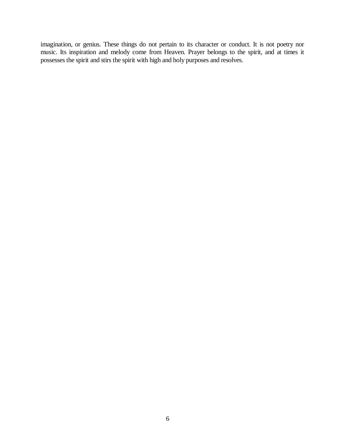imagination, or genius. These things do not pertain to its character or conduct. It is not poetry nor music. Its inspiration and melody come from Heaven. Prayer belongs to the spirit, and at times it possesses the spirit and stirs the spirit with high and holy purposes and resolves.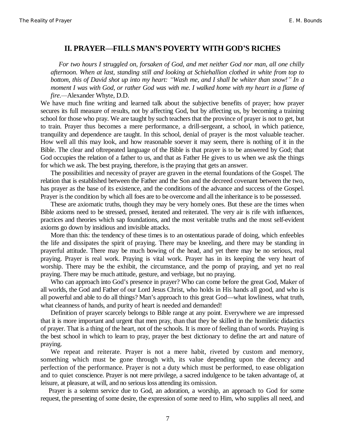#### **II. PRAYER²FILLS MAN¶S POVERTY WITH GOD¶S RICHES**

*For two hours I struggled on, forsaken of God, and met neither God nor man, all one chilly afternoon. When at last, standing still and looking at Schiehallion clothed in white from top to bottom, this of David shot up into my heart: "Wash me, and I shall be whiter than snow!" In a moment I was with God, or rather God was with me. I walked home with my heart in a flame of fire.*—Alexander Whyte, D.D.

We have much fine writing and learned talk about the subjective benefits of prayer; how prayer secures its full measure of results, not by affecting God, but by affecting us, by becoming a training school for those who pray. We are taught by such teachers that the province of prayer is not to get, but to train. Prayer thus becomes a mere performance, a drill-sergeant, a school, in which patience, tranquility and dependence are taught. In this school, denial of prayer is the most valuable teacher. How well all this may look, and how reasonable soever it may seem, there is nothing of it in the Bible. The clear and oftrepeated language of the Bible is that prayer is to be answered by God; that God occupies the relation of a father to us, and that as Father He gives to us when we ask the things for which we ask. The best praying, therefore, is the praying that gets an answer.

The possibilities and necessity of prayer are graven in the eternal foundations of the Gospel. The relation that is established between the Father and the Son and the decreed covenant between the two, has prayer as the base of its existence, and the conditions of the advance and success of the Gospel. Prayer is the condition by which all foes are to be overcome and all the inheritance is to be possessed.

These are axiomatic truths, though they may be very homely ones. But these are the times when Bible axioms need to be stressed, pressed, iterated and reiterated. The very air is rife with influences, practices and theories which sap foundations, and the most veritable truths and the most self-evident axioms go down by insidious and invisible attacks.

More than this: the tendency of these times is to an ostentatious parade of doing, which enfeebles the life and dissipates the spirit of praying. There may be kneeling, and there may be standing in prayerful attitude. There may be much bowing of the head, and yet there may be no serious, real praying. Prayer is real work. Praying is vital work. Prayer has in its keeping the very heart of worship. There may be the exhibit, the circumstance, and the pomp of praying, and yet no real praying. There may be much attitude, gesture, and verbiage, but no praying.

Who can approach into God's presence in prayer? Who can come before the great God, Maker of all worlds, the God and Father of our Lord Jesus Christ, who holds in His hands all good, and who is all powerful and able to do all things? Man's approach to this great God—what lowliness, what truth, what cleanness of hands, and purity of heart is needed and demanded!

Definition of prayer scarcely belongs to Bible range at any point. Everywhere we are impressed that it is more important and urgent that men pray, than that they be skilled in the homiletic didactics of prayer. That is a thing of the heart, not of the schools. It is more of feeling than of words. Praying is the best school in which to learn to pray, prayer the best dictionary to define the art and nature of praying.

We repeat and reiterate. Prayer is not a mere habit, riveted by custom and memory, something which must be gone through with, its value depending upon the decency and perfection of the performance. Prayer is not a duty which must be performed, to ease obligation and to quiet conscience. Prayer is not mere privilege, a sacred indulgence to be taken advantage of, at leisure, at pleasure, at will, and no serious loss attending its omission.

Prayer is a solemn service due to God, an adoration, a worship, an approach to God for some request, the presenting of some desire, the expression of some need to Him, who supplies all need, and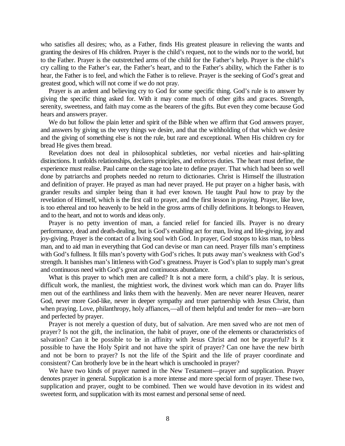who satisfies all desires; who, as a Father, finds His greatest pleasure in relieving the wants and granting the desires of His children. Prayer is the child's request, not to the winds nor to the world, but to the Father. Prayer is the outstretched arms of the child for the Father's help. Prayer is the child's cry calling to the Father's ear, the Father's heart, and to the Father's ability, which the Father is to hear, the Father is to feel, and which the Father is to relieve. Prayer is the seeking of God's great and greatest good, which will not come if we do not pray.

Prayer is an ardent and believing cry to God for some specific thing. God's rule is to answer by giving the specific thing asked for. With it may come much of other gifts and graces. Strength, serenity, sweetness, and faith may come as the bearers of the gifts. But even they come because God hears and answers prayer.

We do but follow the plain letter and spirit of the Bible when we affirm that God answers prayer, and answers by giving us the very things we desire, and that the withholding of that which we desire and the giving of something else is not the rule, but rare and exceptional. When His children cry for bread He gives them bread.

Revelation does not deal in philosophical subtleties, nor verbal niceties and hair-splitting distinctions. It unfolds relationships, declares principles, and enforces duties. The heart must define, the experience must realise. Paul came on the stage too late to define prayer. That which had been so well done by patriarchs and prophets needed no return to dictionaries. Christ is Himself the illustration and definition of prayer. He prayed as man had never prayed. He put prayer on a higher basis, with grander results and simpler being than it had ever known. He taught Paul how to pray by the revelation of Himself, which is the first call to prayer, and the first lesson in praying. Prayer, like love, is too ethereal and too heavenly to be held in the gross arms of chilly definitions. It belongs to Heaven, and to the heart, and not to words and ideas only.

Prayer is no petty invention of man, a fancied relief for fancied ills. Prayer is no dreary performance, dead and death-dealing, but is God's enabling act for man, living and life-giving, joy and joy-giving. Prayer is the contact of a living soul with God. In prayer, God stoops to kiss man, to bless man, and to aid man in everything that God can devise or man can need. Prayer fills man's emptiness with God's fullness. It fills man's poverty with God's riches. It puts away man's weakness with God's strength. It banishes man's littleness with God's greatness. Prayer is God's plan to supply man's great and continuous need with God's great and continuous abundance.

What is this prayer to which men are called? It is not a mere form, a child's play. It is serious, difficult work, the manliest, the mightiest work, the divinest work which man can do. Prayer lifts men out of the earthliness and links them with the heavenly. Men are never nearer Heaven, nearer God, never more God-like, never in deeper sympathy and truer partnership with Jesus Christ, than when praying. Love, philanthropy, holy affiances,—all of them helpful and tender for men—are born and perfected by prayer.

Prayer is not merely a question of duty, but of salvation. Are men saved who are not men of prayer? Is not the gift, the inclination, the habit of prayer, one of the elements or characteristics of salvation? Can it be possible to be in affinity with Jesus Christ and not be prayerful? Is it possible to have the Holy Spirit and not have the spirit of prayer? Can one have the new birth and not be born to prayer? Is not the life of the Spirit and the life of prayer coordinate and consistent? Can brotherly love be in the heart which is unschooled in prayer?

We have two kinds of prayer named in the New Testament—prayer and supplication. Prayer denotes prayer in general. Supplication is a more intense and more special form of prayer. These two, supplication and prayer, ought to be combined. Then we would have devotion in its widest and sweetest form, and supplication with its most earnest and personal sense of need.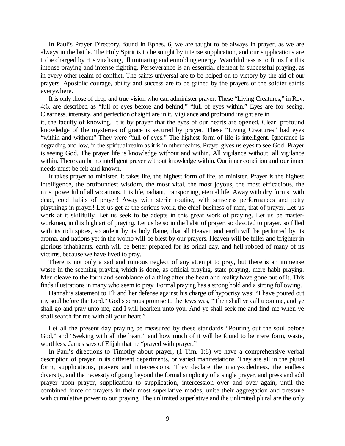In Paul's Prayer Directory, found in Ephes. 6, we are taught to be always in prayer, as we are always in the battle. The Holy Spirit is to be sought by intense supplication, and our supplications are to be charged by His vitalising, illuminating and ennobling energy. Watchfulness is to fit us for this intense praying and intense fighting. Perseverance is an essential element in successful praying, as in every other realm of conflict. The saints universal are to be helped on to victory by the aid of our prayers. Apostolic courage, ability and success are to be gained by the prayers of the soldier saints everywhere.

It is only those of deep and true vision who can administer prayer. These "Living Creatures," in Rev. 4:6, are described as "full of eyes before and behind," "full of eyes within." Eyes are for seeing. Clearness, intensity, and perfection of sight are in it. Vigilance and profound insight are in

it, the faculty of knowing. It is by prayer that the eyes of our hearts are opened. Clear, profound knowledge of the mysteries of grace is secured by prayer. These "Living Creatures" had eyes "within and without" They were "full of eyes." The highest form of life is intelligent. Ignorance is degrading and low, in the spiritual realm as it is in other realms. Prayer gives us eyes to see God. Prayer is seeing God. The prayer life is knowledge without and within. All vigilance without, all vigilance within. There can be no intelligent prayer without knowledge within. Our inner condition and our inner needs must be felt and known.

It takes prayer to minister. It takes life, the highest form of life, to minister. Prayer is the highest intelligence, the profoundest wisdom, the most vital, the most joyous, the most efficacious, the most powerful of all vocations. It is life, radiant, transporting, eternal life. Away with dry forms, with dead, cold habits of prayer! Away with sterile routine, with senseless performances and petty playthings in prayer! Let us get at the serious work, the chief business of men, that of prayer. Let us work at it skillfully. Let us seek to be adepts in this great work of praying. Let us be masterworkmen, in this high art of praying. Let us be so in the habit of prayer, so devoted to prayer, so filled with its rich spices, so ardent by its holy flame, that all Heaven and earth will be perfumed by its aroma, and nations yet in the womb will be blest by our prayers. Heaven will be fuller and brighter in glorious inhabitants, earth will be better prepared for its bridal day, and hell robbed of many of its victims, because we have lived to pray.

There is not only a sad and ruinous neglect of any attempt to pray, but there is an immense waste in the seeming praying which is done, as official praying, state praying, mere habit praying. Men cleave to the form and semblance of a thing after the heart and reality have gone out of it. This finds illustrations in many who seem to pray. Formal praying has a strong hold and a strong following.

Hannah's statement to Eli and her defense against his charge of hypocrisy was: "I have poured out my soul before the Lord." God's serious promise to the Jews was, "Then shall ye call upon me, and ye shall go and pray unto me, and I will hearken unto you. And ye shall seek me and find me when ye shall search for me with all your heart."

Let all the present day praying be measured by these standards "Pouring out the soul before God," and "Seeking with all the heart," and how much of it will be found to be mere form, waste, worthless. James says of Elijah that he "prayed with prayer."

In Paul's directions to Timothy about prayer, (1 Tim. 1:8) we have a comprehensive verbal description of prayer in its different departments, or varied manifestations. They are all in the plural form, supplications, prayers and intercessions. They declare the many-sidedness, the endless diversity, and the necessity of going beyond the formal simplicity of a single prayer, and press and add prayer upon prayer, supplication to supplication, intercession over and over again, until the combined force of prayers in their most superlative modes, unite their aggregation and pressure with cumulative power to our praying. The unlimited superlative and the unlimited plural are the only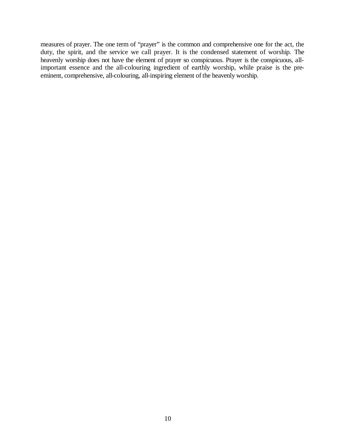measures of prayer. The one term of "prayer" is the common and comprehensive one for the act, the duty, the spirit, and the service we call prayer. It is the condensed statement of worship. The heavenly worship does not have the element of prayer so conspicuous. Prayer is the conspicuous, allimportant essence and the all-colouring ingredient of earthly worship, while praise is the preeminent, comprehensive, all-colouring, all-inspiring element of the heavenly worship.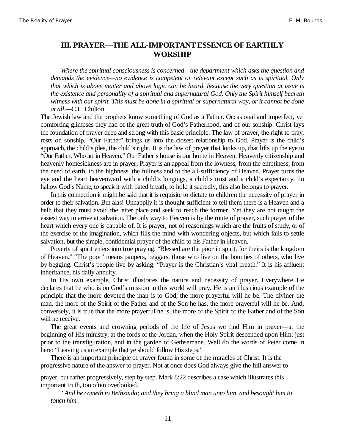# **III. PRAYER²THE ALL-IMPORTANT ESSENCE OF EARTHLY WORSHIP**

*Where the spiritual consciousness is concerned²the department which asks the question and demands the evidence²no evidence is competent or relevant except such as is spiritual. Only that which is above matter and above logic can be heard, because the very question at issue is the existence and personality of a spiritual and supernatural God. Only the Spirit himself beareth witness with our spirit. This must be done in a spiritual or supernatural way, or it cannot be done at all.²*C.L. Chilton

The Jewish law and the prophets know something of God as a Father. Occasional and imperfect, yet comforting glimpses they had of the great truth of God's Fatherhood, and of our sonship. Christ lays the foundation of prayer deep and strong with this basic principle. The law of prayer, the right to pray, rests on sonship. "Our Father" brings us into the closest relationship to God. Prayer is the child's approach, the child's plea, the child's right. It is the law of prayer that looks up, that lifts up the eye to "Our Father, Who art in Heaven." Our Father's house is our home in Heaven. Heavenly citizenship and heavenly homesickness are in prayer; Prayer is an appeal from the lowness, from the emptiness, from the need of earth, to the highness, the fullness and to the all-sufficiency of Heaven. Prayer turns the eye and the heart heavenward with a child's longings, a child's trust and a child's expectancy. To hallow God's Name, to speak it with bated breath, to hold it sacredly, this also belongs to prayer.

In this connection it might be said that it is requisite to dictate to children the necessity of prayer in order to their salvation. But alas! Unhappily it is thought sufficient to tell them there is a Heaven and a hell; that they must avoid the latter place and seek to reach the former. Yet they are not taught the easiest way to arrive at salvation. The only way to Heaven is by the route of prayer, such prayer of the heart which every one is capable of. It is prayer, not of reasonings which are the fruits of study, or of the exercise of the imagination, which fills the mind with wondering objects, but which fails to settle salvation, but the simple, confidential prayer of the child to his Father in Heaven.

Poverty of spirit enters into true praying. "Blessed are the poor in spirit, for theirs is the kingdom of Heaven." "The poor" means paupers, beggars, those who live on the bounties of others, who live by begging. Christ's people live by asking. "Prayer is the Christian's vital breath." It is his affluent inheritance, his daily annuity.

In His own example, Christ illustrates the nature and necessity of prayer. Everywhere He declares that he who is on God's mission in this world will pray. He is an illustrious example of the principle that the more devoted the man is to God, the more prayerful will he be. The diviner the man, the more of the Spirit of the Father and of the Son he has, the more prayerful will he be. And, conversely, it is true that the more prayerful he is, the more of the Spirit of the Father and of the Son will he receive.

The great events and crowning periods of the life of Jesus we find Him in prayer—at the beginning of His ministry, at the fords of the Jordan, when the Holy Spirit descended upon Him; just prior to the transfiguration, and in the garden of Gethsemane. Well do the words of Peter come in here: "Leaving us an example that ye should follow His steps."

There is an important principle of prayer found in some of the miracles of Christ. It is the progressive nature of the answer to prayer. Not at once does God always give the full answer to

prayer, but rather progressively, step by step. Mark 8:22 describes a case which illustrates this important truth, too often overlooked.

*³And he cometh to Bethsaida; and they bring a blind man unto him, and besought him to touch him.*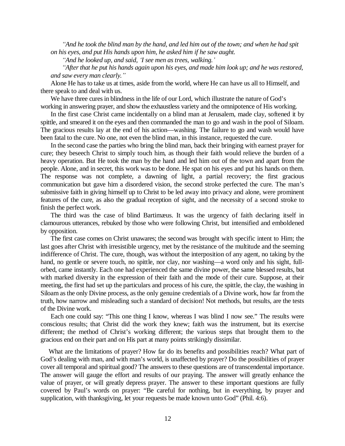*³And he took the blind man by the hand, and led him out of the town; and when he had spit on his eyes, and put His hands upon him, he asked him if he saw aught.*

*³And he looked up, and said, µI see men as trees, walking.¶*

*³After that he put his hands again upon his eyes, and made him look up; and he was restored, and saw every man clearly.´*

Alone He has to take us at times, aside from the world, where He can have us all to Himself, and there speak to and deal with us.

We have three cures in blindness in the life of our Lord, which illustrate the nature of God's working in answering prayer, and show the exhaustless variety and the omnipotence of His working.

In the first case Christ came incidentally on a blind man at Jerusalem, made clay, softened it by spittle, and smeared it on the eyes and then commanded the man to go and wash in the pool of Siloam. The gracious results lay at the end of his action—washing. The failure to go and wash would have been fatal to the cure. No one, not even the blind man, in this instance, requested the cure.

In the second case the parties who bring the blind man, back their bringing with earnest prayer for cure; they beseech Christ to simply touch him, as though their faith would relieve the burden of a heavy operation. But He took the man by the hand and led him out of the town and apart from the people. Alone, and in secret, this work was to be done. He spat on his eyes and put his hands on them. The response was not complete, a dawning of light, a partial recovery; the first gracious communication but gave him a disordered vision, the second stroke perfected the cure. The man's submissive faith in giving himself up to Christ to be led away into privacy and alone, were prominent features of the cure, as also the gradual reception of sight, and the necessity of a second stroke to finish the perfect work.

The third was the case of blind Bartimæus. It was the urgency of faith declaring itself in clamourous utterances, rebuked by those who were following Christ, but intensified and emboldened by opposition.

The first case comes on Christ unawares; the second was brought with specific intent to Him; the last goes after Christ with irresistible urgency, met by the resistance of the multitude and the seeming indifference of Christ. The cure, though, was without the interposition of any agent, no taking by the hand, no gentle or severe touch, no spittle, nor clay, nor washing—a word only and his sight, fullorbed, came instantly. Each one had experienced the same divine power, the same blessed results, but with marked diversity in the expression of their faith and the mode of their cure. Suppose, at their meeting, the first had set up the particulars and process of his cure, the spittle, the clay, the washing in Siloam as the only Divine process, as the only genuine credentials of a Divine work, how far from the truth, how narrow and misleading such a standard of decision! Not methods, but results, are the tests of the Divine work.

Each one could say: "This one thing I know, whereas I was blind I now see." The results were conscious results; that Christ did the work they knew; faith was the instrument, but its exercise different; the method of Christ's working different; the various steps that brought them to the gracious end on their part and on His part at many points strikingly dissimilar.

What are the limitations of prayer? How far do its benefits and possibilities reach? What part of God's dealing with man, and with man's world, is unaffected by prayer? Do the possibilities of prayer cover all temporal and spiritual good? The answers to these questions are of transcendental importance. The answer will gauge the effort and results of our praying. The answer will greatly enhance the value of prayer, or will greatly depress prayer. The answer to these important questions are fully covered by Paul's words on prayer: "Be careful for nothing, but in everything, by prayer and supplication, with thanksgiving, let your requests be made known unto God" (Phil. 4:6).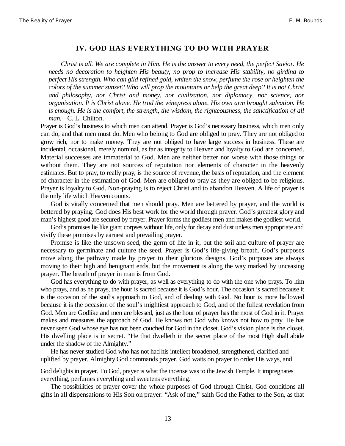#### **IV. GOD HAS EVERYTHING TO DO WITH PRAYER**

*Christ is all. We are complete in Him. He is the answer to every need, the perfect Savior. He needs no decoration to heighten His beauty, no prop to increase His stability, no girding to perfect His strength. Who can gild refined gold, whiten the snow, perfume the rose or heighten the colors of the summer sunset? Who will prop the mountains or help the great deep? It is not Christ and philosophy, nor Christ and money, nor civilization, nor diplomacy, nor science, nor organisation. It is Christ alone. He trod the winepress alone. His own arm brought salvation. He is enough. He is the comfort, the strength, the wisdom, the righteousness, the sanctification of all* man.<sup>-C.</sup> L. Chilton.

Prayer is God's business to which men can attend. Prayer is God's necessary business, which men only can do, and that men must do. Men who belong to God are obliged to pray. They are not obliged to grow rich, nor to make money. They are not obliged to have large success in business. These are incidental, occasional, merely nominal, as far as integrity to Heaven and loyalty to God are concerned. Material successes are immaterial to God. Men are neither better nor worse with those things or without them. They are not sources of reputation nor elements of character in the heavenly estimates. But to pray, to really pray, is the source of revenue, the basis of reputation, and the element of character in the estimation of God. Men are obliged to pray as they are obliged to be religious. Prayer is loyalty to God. Non-praying is to reject Christ and to abandon Heaven. A life of prayer is the only life which Heaven counts.

God is vitally concerned that men should pray. Men are bettered by prayer, and the world is bettered by praying. God does His best work for the world through prayer. God's greatest glory and man's highest good are secured by prayer. Prayer forms the godliest men and makes the godliest world.

God's promises lie like giant corpses without life, only for decay and dust unless men appropriate and vivify these promises by earnest and prevailing prayer.

Promise is like the unsown seed, the germ of life in it, but the soil and culture of prayer are necessary to germinate and culture the seed. Prayer is God's life-giving breath. God's purposes move along the pathway made by prayer to their glorious designs. God's purposes are always moving to their high and benignant ends, but the movement is along the way marked by unceasing prayer. The breath of prayer in man is from God.

God has everything to do with prayer, as well as everything to do with the one who prays. To him who prays, and as he prays, the hour is sacred because it is God's hour. The occasion is sacred because it is the occasion of the soul's approach to God, and of dealing with God. No hour is more hallowed because it is the occasion of the soul's mightiest approach to God, and of the fullest revelation from God. Men are Godlike and men are blessed, just as the hour of prayer has the most of God in it. Prayer makes and measures the approach of God. He knows not God who knows not how to pray. He has never seen God whose eye has not been couched for God in the closet. God's vision place is the closet. His dwelling place is in secret. "He that dwelleth in the secret place of the most High shall abide under the shadow of the Almighty."

He has never studied God who has not had his intellect broadened, strengthened, clarified and uplifted by prayer. Almighty God commands prayer, God waits on prayer to order His ways, and

God delights in prayer. To God, prayer is what the incense was to the Jewish Temple. It impregnates everything, perfumes everything and sweetens everything.

The possibilities of prayer cover the whole purposes of God through Christ. God conditions all gifts in all dispensations to His Son on prayer: "Ask of me," saith God the Father to the Son, as that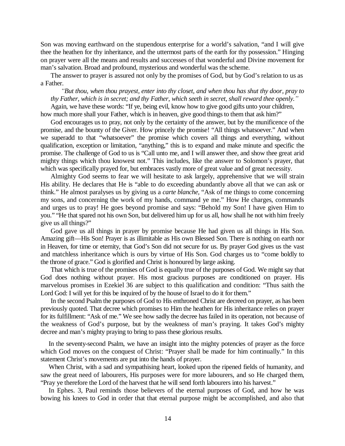Son was moving earthward on the stupendous enterprise for a world's salvation, "and I will give thee the heathen for thy inheritance, and the uttermost parts of the earth for thy possession." Hinging on prayer were all the means and results and successes of that wonderful and Divine movement for man's salvation. Broad and profound, mysterious and wonderful was the scheme.

The answer to prayer is assured not only by the promises of God, but by God's relation to us as a Father.

*³But thou, when thou prayest, enter into thy closet, and when thou has shut thy door, pray to thy Father, which is in secret; and thy Father, which seeth in secret, shall reward thee openly.´*

Again, we have these words: "If ye, being evil, know how to give good gifts unto your children, how much more shall your Father, which is in heaven, give good things to them that ask him?"

God encourages us to pray, not only by the certainty of the answer, but by the munificence of the promise, and the bounty of the Giver. How princely the promise! "All things whatsoever." And when we superadd to that "whatsoever" the promise which covers all things and everything, without qualification, exception or limitation, "anything," this is to expand and make minute and specific the promise. The challenge of God to us is "Call unto me, and I will answer thee, and show thee great arid mighty things which thou knowest not." This includes, like the answer to Solomon's prayer, that which was specifically prayed for, but embraces vastly more of great value and of great necessity.

Almighty God seems to fear we will hesitate to ask largely, apprehensive that we will strain His ability. He declares that He is "able to do exceeding abundantly above all that we can ask or think." He almost paralyses us by giving us a *carte blanche,* "Ask of me things to come concerning my sons, and concerning the work of my hands, command ye me." How He charges, commands and urges us to pray! He goes beyond promise and says: "Behold my Son! I have given Him to you." "He that spared not his own Son, but delivered him up for us all, how shall he not with him freely give us all things?"

God gave us all things in prayer by promise because He had given us all things in His Son. Amazing gift—His Son! Prayer is as illimitable as His own Blessed Son. There is nothing on earth nor in Heaven, for time or eternity, that God's Son did not secure for us. By prayer God gives us the vast and matchless inheritance which is ours by virtue of His Son. God charges us to "come boldly to the throne of grace." God is glorified and Christ is honoured by large asking.

That which is true of the promises of God is equally true of the purposes of God. We might say that God does nothing without prayer. His most gracious purposes are conditioned on prayer. His marvelous promises in Ezekiel 36 are subject to this qualification and condition: "Thus saith the Lord God: I will yet for this be inquired of by the house of Israel to do it for them."

In the second Psalm the purposes of God to His enthroned Christ are decreed on prayer, as has been previously quoted. That decree which promises to Him the heathen for His inheritance relies on prayer for its fulfillment: "Ask of me." We see how sadly the decree has failed in its operation, not because of the weakness of God's purpose, but by the weakness of man's praying. It takes God's mighty decree and man's mighty praying to bring to pass these glorious results.

In the seventy-second Psalm, we have an insight into the mighty potencies of prayer as the force which God moves on the conquest of Christ: "Prayer shall be made for him continually." In this statement Christ's movements are put into the hands of prayer.

When Christ, with a sad and sympathising heart, looked upon the ripened fields of humanity, and saw the great need of labourers, His purposes were for more labourers, and so He charged them, "Pray ye therefore the Lord of the harvest that he will send forth labourers into his harvest."

In Ephes. 3, Paul reminds those believers of the eternal purposes of God, and how he was bowing his knees to God in order that that eternal purpose might be accomplished, and also that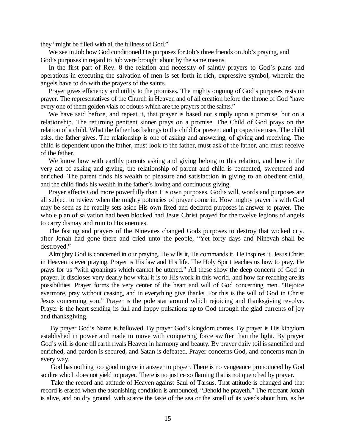they "might be filled with all the fullness of God."

We see in Job how God conditioned His purposes for Job's three friends on Job's praying, and God's purposes in regard to Job were brought about by the same means.

In the first part of Rev. 8 the relation and necessity of saintly prayers to God's plans and operations in executing the salvation of men is set forth in rich, expressive symbol, wherein the angels have to do with the prayers of the saints.

Prayer gives efficiency and utility to the promises. The mighty ongoing of God's purposes rests on prayer. The representatives of the Church in Heaven and of all creation before the throne of God "have every one of them golden vials of odours which are the prayers of the saints."

We have said before, and repeat it, that prayer is based not simply upon a promise, but on a relationship. The returning penitent sinner prays on a promise. The Child of God prays on the relation of a child. What the father has belongs to the child for present and prospective uses. The child asks, the father gives. The relationship is one of asking and answering, of giving and receiving. The child is dependent upon the father, must look to the father, must ask of the father, and must receive of the father.

We know how with earthly parents asking and giving belong to this relation, and how in the very act of asking and giving, the relationship of parent and child is cemented, sweetened and enriched. The parent finds his wealth of pleasure and satisfaction in giving to an obedient child, and the child finds his wealth in the father's loving and continuous giving.

Prayer affects God more powerfully than His own purposes. God's will, words and purposes are all subject to review when the mighty potencies of prayer come in. How mighty prayer is with God may be seen as he readily sets aside His own fixed and declared purposes in answer to prayer. The whole plan of salvation had been blocked had Jesus Christ prayed for the twelve legions of angels to carry dismay and ruin to His enemies.

The fasting and prayers of the Ninevites changed Gods purposes to destroy that wicked city. after Jonah had gone there and cried unto the people, "Yet forty days and Ninevah shall be destroyed."

Almighty God is concerned in our praying. He wills it, He commands it, He inspires it. Jesus Christ in Heaven is ever praying. Prayer is His law and His life. The Holy Spirit teaches us how to pray. He prays for us "with groanings which cannot be uttered." All these show the deep concern of God in prayer. It discloses very dearly how vital it is to His work in this world, and how far-reaching are its possibilities. Prayer forms the very center of the heart and will of God concerning men. "Rejoice evermore, pray without ceasing, and in everything give thanks. For this is the will of God in Christ Jesus concerning you." Prayer is the pole star around which rejoicing and thanksgiving revolve. Prayer is the heart sending its full and happy pulsations up to God through the glad currents of joy and thanksgiving.

By prayer God's Name is hallowed. By prayer God's kingdom comes. By prayer is His kingdom established in power and made to move with conquering force swifter than the light. By prayer God's will is done till earth rivals Heaven in harmony and beauty. By prayer daily toil is sanctified and enriched, and pardon is secured, and Satan is defeated. Prayer concerns God, and concerns man in every way.

God has nothing too good to give in answer to prayer. There is no vengeance pronounced by God so dire which does not yield to prayer. There is no justice so flaming that is not quenched by prayer.

Take the record and attitude of Heaven against Saul of Tarsus. That attitude is changed and that record is erased when the astonishing condition is announced, "Behold he prayeth." The recreant Jonah is alive, and on dry ground, with scarce the taste of the sea or the smell of its weeds about him, as he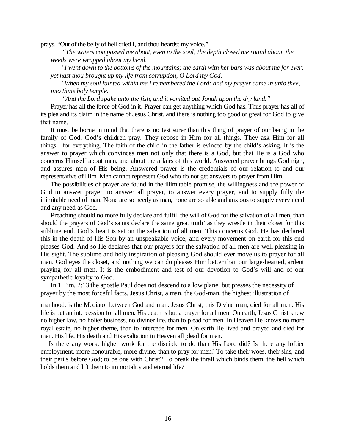prays. "Out of the belly of hell cried I, and thou heardst my voice."

*³The waters compassed me about, even to the soul; the depth closed me round about, the weeds were wrapped about my head.*

*³I went down to the bottoms of the mountains; the earth with her bars was about me for ever; yet hast thou brought up my life from corruption, O Lord my God.*

*³When my soul fainted within me I remembered the Lord: and my prayer came in unto thee, into thine holy temple.*

*³And the Lord spake unto the fish, and it vomited out Jonah upon the dry land.´*

Prayer has all the force of God in it. Prayer can get anything which God has. Thus prayer has all of its plea and its claim in the name of Jesus Christ, and there is nothing too good or great for God to give that name.

It must be borne in mind that there is no test surer than this thing of prayer of our being in the family of God. God's children pray. They repose in Him for all things. They ask Him for all things—for everything. The faith of the child in the father is evinced by the child's asking. It is the answer to prayer which convinces men not only that there is a God, but that He is a God who concerns Himself about men, and about the affairs of this world. Answered prayer brings God nigh, and assures men of His being. Answered prayer is the credentials of our relation to and our representative of Him. Men cannot represent God who do not get answers to prayer from Him.

The possibilities of prayer are found in the illimitable promise, the willingness and the power of God to answer prayer, to answer all prayer, to answer every prayer, and to supply fully the illimitable need of man. None are so needy as man, none are so able and anxious to supply every need and any need as God.

Preaching should no more fully declare and fulfill the will of God for the salvation of all men, than should the prayers of God's saints declare the same great truth' as they wrestle in their closet for this sublime end. God's heart is set on the salvation of all men. This concerns God. He has declared this in the death of His Son by an unspeakable voice, and every movement on earth for this end pleases God. And so He declares that our prayers for the salvation of all men are well pleasing in His sight. The sublime and holy inspiration of pleasing God should ever move us to prayer for all men. God eyes the closet, and nothing we can do pleases Him better than our large-hearted, ardent praying for all men. It is the embodiment and test of our devotion to God's will and of our sympathetic loyalty to God.

In 1 Tim. 2:13 the apostle Paul does not descend to a low plane, but presses the necessity of prayer by the most forceful facts. Jesus Christ, a man, the God-man, the highest illustration of

manhood, is the Mediator between God and man. Jesus Christ, this Divine man, died for all men. His life is but an intercession for all men. His death is but a prayer for all men. On earth, Jesus Christ knew no higher law, no holier business, no diviner life, than to plead for men. In Heaven He knows no more royal estate, no higher theme, than to intercede for men. On earth He lived and prayed and died for men. His life, His death and His exaltation in Heaven all plead for men.

Is there any work, higher work for the disciple to do than His Lord did? Is there any loftier employment, more honourable, more divine, than to pray for men? To take their woes, their sins, and their perils before God; to be one with Christ? To break the thrall which binds them, the hell which holds them and lift them to immortality and eternal life?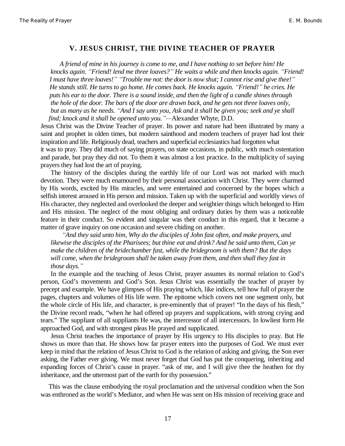#### **V. JESUS CHRIST, THE DIVINE TEACHER OF PRAYER**

*A friend of mine in his journey is come to me, and I have nothing to set before him! He knocks again. ³Friend! lend me three loaves?´ He waits a while and then knocks again. ³Friend! I must have three loaves!´³Trouble me not: the door is now shut; I cannot rise and give thee!´ He stands still. He turns to go home. He comes back. He knocks again. 'Friend!'* **he cries. He** *puts his ear to the door. There is a sound inside, and then the light of a candle shines through the hole of the door. The bars of the door are drawn back, and he gets not three loaves only, but as many as he needs. ³And I say unto you, Ask and it shall be given you; seek and ye shall find; knock and it shall be opened unto you.´²*Alexander Whyte, D.D.

Jesus Christ was the Divine Teacher of prayer. Its power and nature had been illustrated by many a saint and prophet in olden times, but modern sainthood and modern teachers of prayer had lost their inspiration and life. Religiously dead, teachers and superficial ecclesiastics had forgotten what it was to pray. They did much of saying prayers, on state occasions, in public, with much ostentation and parade, but pray they did not. To them it was almost a lost practice. In the multiplicity of saying prayers they had lost the art of praying.

The history of the disciples during the earthly life of our Lord was not marked with much devotion. They were much enamoured by their personal association with Christ. They were charmed by His words, excited by His miracles, and were entertained and concerned by the hopes which a selfish interest aroused in His person and mission. Taken up with the superficial and worldly views of His character, they neglected and overlooked the deeper and weightier things which belonged to Him and His mission. The neglect of the most obliging and ordinary duties by them was a noticeable feature in their conduct. So evident and singular was their conduct in this regard, that it became a matter of grave inquiry on one occasion and severe chiding on another.

*³And they said unto him, Why do the disciples of John fast often, and make prayers, and likewise the disciples of the Pharisees; but thine eat and drink? And he said unto them, Can ye make the children of the bridechamber fast, while the bridegroom is with them? But the days will come, when the bridegroom shall be taken away from them, and then shall they fast in those days.´*

In the example and the teaching of Jesus Christ, prayer assumes its normal relation to God's person, God's movements and God's Son. Jesus Christ was essentially the teacher of prayer by precept and example. We have glimpses of His praying which, like indices, tell how full of prayer the pages, chapters and volumes of His life were. The epitome which covers not one segment only, but the whole circle of His life, and character, is pre-eminently that of prayer! "In the days of his flesh," the Divine record reads, "when he had offered up prayers and supplications, with strong crying and tears." The suppliant of all suppliants He was, the intercessor of all intercessors. In lowliest form He approached God, and with strongest pleas He prayed and supplicated.

Jesus Christ teaches the importance of prayer by His urgency to His disciples to pray. But He shows us more than that. He shows how far prayer enters into the purposes of God. We must ever keep in mind that the relation of Jesus Christ to God is the relation of asking and giving, the Son ever asking, the Father ever giving. We must never forget that God has put the conquering, inheriting and expanding forces of Christ's cause in prayer. "ask of me, and I will give thee the heathen for thy inheritance, and the uttermost part of the earth for thy possession."

This was the clause embodying the royal proclamation and the universal condition when the Son was enthroned as the world's Mediator, and when He was sent on His mission of receiving grace and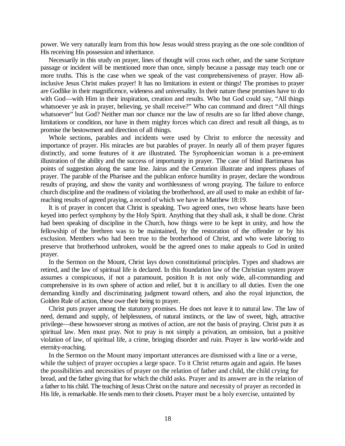power. We very naturally learn from this how Jesus would stress praying as the one sole condition of His receiving His possession and inheritance.

Necessarily in this study on prayer, lines of thought will cross each other, and the same Scripture passage or incident will be mentioned more than once, simply because a passage may teach one or more truths. This is the case when we speak of the vast comprehensiveness of prayer. How allinclusive Jesus Christ makes prayer! It has no limitations in extent or things! The promises to prayer are Godlike in their magnificence, wideness and universality. In their nature these promises have to do with God—with Him in their inspiration, creation and results. Who but God could say, "All things whatsoever ye ask in prayer, believing, ye shall receive?" Who can command and direct "All things whatsoever" but God? Neither man nor chance nor the law of results are so far lifted above change, limitations or condition, nor have in them mighty forces which can direct and result all things, as to promise the bestowment and direction of all things.

Whole sections, parables and incidents were used by Christ to enforce the necessity and importance of prayer. His miracles are but parables of prayer. In nearly all of them prayer figures distinctly, and some features of it are illustrated. The Syrophoenician woman is a pre-eminent illustration of the ability and the success of importunity in prayer. The case of blind Bartimæus has points of suggestion along the same line. Jairus and the Centurion illustrate and impress phases of prayer. The parable of the Pharisee and the publican enforce humility in prayer, declare the wondrous results of praying, and show the vanity and worthlessness of wrong praying. The failure to enforce church discipline and the readiness of violating the brotherhood, are all used to make an exhibit of farreaching results of agreed praying, a record of which we have in Matthew 18:19.

It is of prayer in concert that Christ is speaking. Two agreed ones, two whose hearts have been keyed into perfect symphony by the Holy Spirit. Anything that they shall ask, it shall be done. Christ had been speaking of discipline in the Church, how things were to be kept in unity, and how the fellowship of the brethren was to be maintained, by the restoration of the offender or by his exclusion. Members who had been true to the brotherhood of Christ, and who were laboring to preserve that brotherhood unbroken, would be the agreed ones to make appeals to God in united prayer.

In the Sermon on the Mount, Christ lays down constitutional principles. Types and shadows are retired, and the law of spiritual life is declared. In this foundation law of the Christian system prayer assumes a conspicuous, if not a paramount, position It is not only wide, all-commanding and comprehensive in its own sphere of action and relief, but it is ancillary to all duties. Even the one demanding kindly and discriminating judgment toward others, and also the royal injunction, the Golden Rule of action, these owe their being to prayer.

Christ puts prayer among the statutory promises. He does not leave it to natural law. The law of need, demand and supply, of helplessness, of natural instincts, or the law of sweet, high, attractive privilege—these howsoever strong as motives of action, are not the basis of praying. Christ puts it as spiritual law. Men must pray. Not to pray is not simply a privation, an omission, but a positive violation of law, of spiritual life, a crime, bringing disorder and ruin. Prayer is law world-wide and eternity-reaching.

In the Sermon on the Mount many important utterances are dismissed with a line or a verse, while the subject of prayer occupies a large space. To it Christ returns again and again. He bases the possibilities and necessities of prayer on the relation of father and child, the child crying for bread, and the father giving that for which the child asks. Prayer and its answer are in the relation of a father to his child. The teaching of Jesus Christ on the nature and necessity of prayer as recorded in His life, is remarkable. He sends men to their closets. Prayer must be a holy exercise, untainted by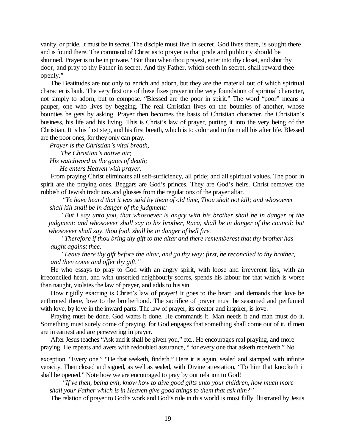vanity, or pride. It must be in secret. The disciple must live in secret. God lives there, is sought there and is found there. The command of Christ as to prayer is that pride and publicity should be shunned. Prayer is to be in private. "But thou when thou prayest, enter into thy closet, and shut thy door, and pray to thy Father in secret. And thy Father, which seeth in secret, shall reward thee openly."

The Beatitudes are not only to enrich and adorn, but they are the material out of which spiritual character is built. The very first one of these fixes prayer in the very foundation of spiritual character, not simply to adorn, but to compose. "Blessed are the poor in spirit." The word "poor" means a pauper, one who lives by begging. The real Christian lives on the bounties of another, whose bounties he gets by asking. Prayer then becomes the basis of Christian character, the Christian's business, his life and his living. This is Christ's law of prayer, putting it into the very being of the Christian. It is his first step, and his first breath, which is to color and to form all his after life. Blessed are the poor ones, for they only can pray.

*Prayer is the Christian¶s vital breath, The Christian¶s native air; His watchword at the gates of death;*

*He enters Heaven with prayer.*

From praying Christ eliminates all self-sufficiency, all pride; and all spiritual values. The poor in spirit are the praying ones. Beggars are God's princes. They are God's heirs. Christ removes the rubbish of Jewish traditions and glosses from the regulations of the prayer altar.

*³Ye have heard that it was said by them of old time, Thou shalt not kill; and whosoever shall kill shall be in danger of the judgment:*

*³But I say unto you, that whosoever is angry with his brother shall be in danger of the judgment: and whosoever shall say to his brother, Raca, shall be in danger of the council: but whosoever shall say, thou fool, shall be in danger of hell fire.*

*³Therefore if thou bring thy gift to the altar and there rememberest that thy brother has aught against thee:*

*³Leave there thy gift before the altar, and go thy way; first, be reconciled to thy brother, and then come and offer thy gift.´*

He who essays to pray to God with an angry spirit, with loose and irreverent lips, with an irreconciled heart, and with unsettled neighbourly scores, spends his labour for that which is worse than naught, violates the law of prayer, and adds to his sin.

How rigidly exacting is Christ's law of prayer! It goes to the heart, and demands that love be enthroned there, love to the brotherhood. The sacrifice of prayer must be seasoned and perfumed with love, by love in the inward parts. The law of prayer, its creator and inspirer, is love.

Praying must be done. God wants it done. He commands it. Man needs it and man must do it. Something must surely come of praying, for God engages that something shall come out of it, if men are in earnest and are persevering in prayer.

After Jesus teaches "Ask and it shall be given you," etc., He encourages real praying, and more praying. He repeats and avers with redoubled assurance, " for every one that asketh receiveth." No

exception. "Every one." "He that seeketh, findeth." Here it is again, sealed and stamped with infinite veracity. Then closed and signed, as well as sealed, with Divine attestation, "To him that knocketh it shall be opened." Note how we are encouraged to pray by our relation to God!

*³If ye then, being evil, know how to give good gifts unto your children, how much more shall your Father which is in Heaven give good things to them that ask him?´*

The relation of prayer to God's work and God's rule in this world is most fully illustrated by Jesus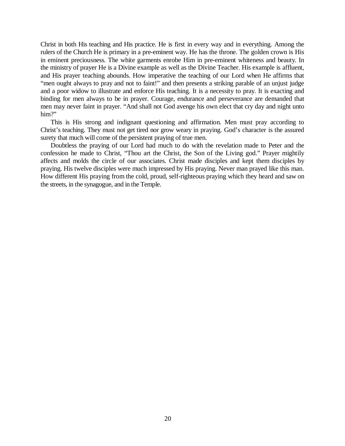Christ in both His teaching and His practice. He is first in every way and in everything. Among the rulers of the Church He is primary in a pre-eminent way. He has the throne. The golden crown is His in eminent preciousness. The white garments enrobe Him in pre-eminent whiteness and beauty. In the ministry of prayer He is a Divine example as well as the Divine Teacher. His example is affluent, and His prayer teaching abounds. How imperative the teaching of our Lord when He affirms that "men ought always to pray and not to faint!" and then presents a striking parable of an unjust judge and a poor widow to illustrate and enforce His teaching. It is a necessity to pray. It is exacting and binding for men always to be in prayer. Courage, endurance and perseverance are demanded that men may never faint in prayer. "And shall not God avenge his own elect that cry day and night unto him?"

This is His strong and indignant questioning and affirmation. Men must pray according to Christ's teaching. They must not get tired nor grow weary in praying. God's character is the assured surety that much will come of the persistent praying of true men.

Doubtless the praying of our Lord had much to do with the revelation made to Peter and the confession he made to Christ, "Thou art the Christ, the Son of the Living god." Prayer mightily affects and molds the circle of our associates. Christ made disciples and kept them disciples by praying. His twelve disciples were much impressed by His praying. Never man prayed like this man. How different His praying from the cold, proud, self-righteous praying which they heard and saw on the streets, in the synagogue, and in the Temple.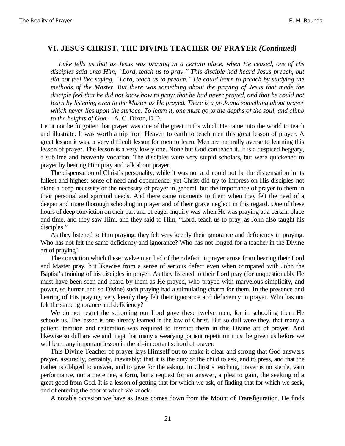#### **VI. JESUS CHRIST, THE DIVINE TEACHER OF PRAYER** *(Continued)*

*Luke tells us that as Jesus was praying in a certain place, when He ceased, one of His disciples said unto Him, ³Lord, teach us to pray.´ This disciple had heard Jesus preach, but did not feel like saying, ³Lord, teach us to preach.´ He could learn to preach by studying the methods of the Master. But there was something about the praying of Jesus that made the disciple feel that he did not know how to pray; that he had never prayed, and that he could not learn by listening even to the Master as He prayed. There is a profound something about prayer which never lies upon the surface. To learn it, one must go to the depths of the soul, and climb to the heights of God.²*A. C. Dixon, D.D.

Let it not be forgotten that prayer was one of the great truths which He came into the world to teach and illustrate. It was worth a trip from Heaven to earth to teach men this great lesson of prayer. A great lesson it was, a very difficult lesson for men to learn. Men are naturally averse to learning this lesson of prayer. The lesson is a very lowly one. None but God can teach it. It is a despised beggary, a sublime and heavenly vocation. The disciples were very stupid scholars, but were quickened to prayer by hearing Him pray and talk about prayer.

The dispensation of Christ's personality, while it was not and could not be the dispensation in its fullest and highest sense of need and dependence, yet Christ did try to impress on His disciples not alone a deep necessity of the necessity of prayer in general, but the importance of prayer to them in their personal and spiritual needs. And there came moments to them when they felt the need of a deeper and more thorough schooling in prayer and of their grave neglect in this regard. One of these hours of deep conviction on their part and of eager inquiry was when He was praying at a certain place and time, and they saw Him, and they said to Him, "Lord, teach us to pray, as John also taught his disciples."

As they listened to Him praying, they felt very keenly their ignorance and deficiency in praying. Who has not felt the same deficiency and ignorance? Who has not longed for a teacher in the Divine art of praying?

The conviction which these twelve men had of their defect in prayer arose from hearing their Lord and Master pray, but likewise from a sense of serious defect even when compared with John the Baptist's training of his disciples in prayer. As they listened to their Lord pray (for unquestionably He must have been seen and heard by them as He prayed, who prayed with marvelous simplicity, and power, so human and so Divine) such praying had a stimulating charm for them. In the presence and hearing of His praying, very keenly they felt their ignorance and deficiency in prayer. Who has not felt the same ignorance and deficiency?

We do not regret the schooling our Lord gave these twelve men, for in schooling them He schools us. The lesson is one already learned in the law of Christ. But so dull were they, that many a patient iteration and reiteration was required to instruct them in this Divine art of prayer. And likewise so dull are we and inapt that many a wearying patient repetition must be given us before we will learn any important lesson in the all-important school of prayer.

This Divine Teacher of prayer lays Himself out to make it clear and strong that God answers prayer, assuredly, certainly, inevitably; that it is the duty of the child to ask, and to press, and that the Father is obliged to answer, and to give for the asking. In Christ's teaching, prayer is no sterile, vain performance, not a mere rite, a form, but a request for an answer, a plea to gain, the seeking of a great good from God. It is a lesson of getting that for which we ask, of finding that for which we seek, and of entering the door at which we knock.

A notable occasion we have as Jesus comes down from the Mount of Transfiguration. He finds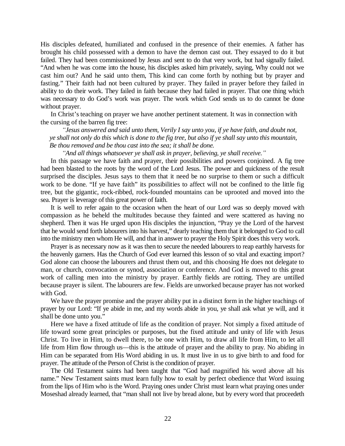His disciples defeated, humiliated and confused in the presence of their enemies. A father has brought his child possessed with a demon to have the demon cast out. They essayed to do it but failed. They had been commissioned by Jesus and sent to do that very work, but had signally failed. "And when he was come into the house, his disciples asked him privately, saying, Why could not we cast him out? And he said unto them, This kind can come forth by nothing but by prayer and fasting." Their faith had not been cultured by prayer. They failed in prayer before they failed in ability to do their work. They failed in faith because they had failed in prayer. That one thing which was necessary to do God's work was prayer. The work which God sends us to do cannot be done without prayer.

In Christ's teaching on prayer we have another pertinent statement. It was in connection with the cursing of the barren fig tree:

*³Jesus answered and said unto them, Verily I say unto you, if ye have faith, and doubt not, ye shall not only do this which is done to the fig tree, but also if ye shall say unto this mountain, Be thou removed and be thou cast into the sea; it shall be done.*

*³And all things whatsoever ye shall ask in prayer, believing, ye shall receive.´*

In this passage we have faith and prayer, their possibilities and powers conjoined. A fig tree had been blasted to the roots by the word of the Lord Jesus. The power and quickness of the result surprised the disciples. Jesus says to them that it need be no surprise to them or such a difficult work to be done. "If ye have faith" its possibilities to affect will not be confined to the little fig tree, but the gigantic, rock-ribbed, rock-founded mountains can be uprooted and moved into the sea. Prayer is leverage of this great power of faith.

It is well to refer again to the occasion when the heart of our Lord was so deeply moved with compassion as he beheld the multitudes because they fainted and were scattered as having no shepherd. Then it was He urged upon His disciples the injunction, "Pray ye the Lord of the harvest that he would send forth labourers into his harvest," dearly teaching them that it belonged to God to call into the ministry men whom He will, and that in answer to prayer the Holy Spirit does this very work.

Prayer is as necessary now as it was then to secure the needed labourers to reap earthly harvests for the heavenly garners. Has the Church of God ever learned this lesson of so vital and exacting import? God alone can choose the labourers and thrust them out, and this choosing He does not delegate to man, or church, convocation or synod, association or conference. And God is moved to this great work of calling men into the ministry by prayer. Earthly fields are rotting. They are untilled because prayer is silent. The labourers are few. Fields are unworked because prayer has not worked with God.

We have the prayer promise and the prayer ability put in a distinct form in the higher teachings of prayer by our Lord: "If ye abide in me, and my words abide in you, ye shall ask what ye will, and it shall be done unto you."

Here we have a fixed attitude of life as the condition of prayer. Not simply a fixed attitude of life toward some great principles or purposes, but the fixed attitude and unity of life with Jesus Christ. To live in Him, to dwell there, to be one with Him, to draw all life from Him, to let all life from Him flow through us—this is the attitude of prayer and the ability to pray. No abiding in Him can be separated from His Word abiding in us. It must live in us to give birth to and food for prayer. The attitude of the Person of Christ is the condition of prayer.

The Old Testament saints had been taught that "God had magnified his word above all his name." New Testament saints must learn fully how to exalt by perfect obedience that Word issuing from the lips of Him who is the Word. Praying ones under Christ must learn what praying ones under Moseshad already learned, that "man shall not live by bread alone, but by every word that proceedeth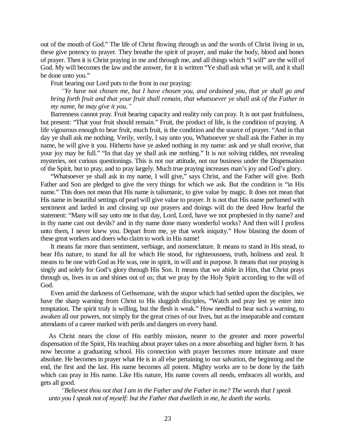out of the mouth of God." The life of Christ flowing through us and the words of Christ living in us, these give potency to prayer. They breathe the spirit of prayer, and make the body, blood and bones of prayer. Then it is Christ praying in me and through me, and all things which "I will" are the will of God. My will becomes the law and the answer, for it is written "Ye shall ask what ye will, and it shall be done unto you."

Fruit bearing our Lord puts to the front in our praying:

*³Ye have not chosen me, but I have chosen you, and ordained you, that ye shall go and bring forth fruit and that your fruit shall remain, that whatsoever ye shall ask of the Father in my name, he may give it you.´*

Barrenness cannot pray. Fruit bearing capacity and reality only can pray. It is not past fruitfulness, but present: "That your fruit should remain." Fruit, the product of life, is the condition of praying. A life vigourous enough to bear fruit, much fruit, is the condition and the source of prayer. "And in that day ye shall ask me nothing. Verily, verily, I say unto you, Whatsoever ye shall ask the Father in my name, he will give it you. Hitherto have ye asked nothing in my name: ask and ye shall receive, that your joy may be full." "In that day ye shall ask me nothing." It is not solving riddles, not revealing mysteries, not curious questionings. This is not our attitude, not our business under the Dispensation of the Spirit, but to pray, and to pray largely. Much true praying increases man's joy and God's glory.

"Whatsoever ye shall ask in my name, I will give," says Christ, and the Father will give. Both Father and Son are pledged to give the very things for which we ask. But the condition is "in His name." This does not mean that His name is talismanic, to give value by magic. It does not mean that His name in beautiful settings of pearl will give value to prayer. It is not that His name perfumed with sentiment and larded in and closing up our prayers and doings will do the deed How fearful the statement: "Many will say unto me in that day, Lord, Lord, have we not prophesied in thy name? and in thy name cast out devils? and in thy name done many wonderful works? And then will I profess unto them, I never knew you. Depart from me, ye that work iniquity." How blasting the doom of these great workers and doers who claim to work in His name!

It means far more than sentiment, verbiage, and nomenclature. It means to stand in His stead, to bear His nature, to stand for all for which He stood, for righteousness, truth, holiness and zeal. It means to be one with God as He was, one in spirit, in will and in purpose. It means that our praying is singly and solely for God's glory through His Son. It means that we abide in Him, that Christ prays through us, lives in us and shines out of us; that we pray by the Holy Spirit according to the will of God.

Even amid the darkness of Gethsemane, with the stupor which had settled upon the disciples, we have the sharp warning from Christ to His sluggish disciples, "Watch and pray lest ye enter into temptation. The spirit truly is willing, but the flesh is weak." How needful to hear such a warning, to awaken all our powers, not simply for the great crises of our lives, but as the inseparable and constant attendants of a career marked with perils and dangers on every hand.

As Christ nears the close of His earthly mission, nearer to the greater and more powerful dispensation of the Spirit, His teaching about prayer takes on a more absorbing and higher form. It has now become a graduating school. His connection with prayer becomes more intimate and more absolute. He becomes in prayer what He is in all else pertaining to our salvation, the beginning and the end, the first and the last. His name becomes all potent. Mighty works are to be done by the faith which can pray in His name. Like His nature, His name covers all needs, embraces all worlds, and gets all good.

*³Believest thou not that I am in the Father and the Father in me? The words that I speak unto you I speak not of myself: but the Father that dwelleth in me, he doeth the works.*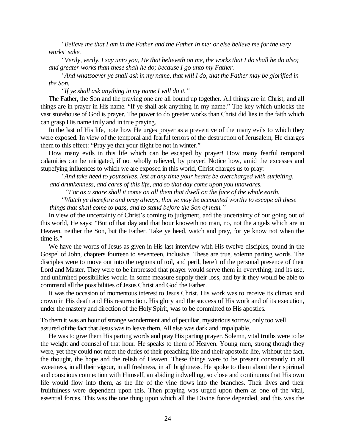*³Believe me that I am in the Father and the Father in me: or else believe me for the very works¶ sake.*

*³Verily, verily, I say unto you, He that believeth on me, the works that I do shall he do also; and greater works than these shall he do; because I go unto my Father.*

*³And whatsoever ye shall ask in my name, that will I do, that the Father may be glorified in the Son.*

*³If ye shall ask anything in my name I will do it.´*

The Father, the Son and the praying one are all bound up together. All things are in Christ, and all things are in prayer in His name. "If ye shall ask anything in my name." The key which unlocks the vast storehouse of God is prayer. The power to do greater works than Christ did lies in the faith which can grasp His name truly and in true praying.

In the last of His life, note how He urges prayer as a preventive of the many evils to which they were exposed. In view of the temporal and fearful terrors of the destruction of Jerusalem, He charges them to this effect: "Pray ye that your flight be not in winter."

How many evils in this life which can be escaped by prayer! How many fearful temporal calamities can be mitigated, if not wholly relieved, by prayer! Notice how, amid the excesses and stupefying influences to which we are exposed in this world, Christ charges us to pray:

*³And take heed to yourselves, lest at any time your hearts be overcharged with surfeiting, and drunkenness, and cares of this life, and so that day come upon you unawares.*

*³For as a snare shall it come on all them that dwell on the face of the whole earth.*

*³Watch ye therefore and pray always, that ye may be accounted worthy to escape all these*

*things that shall come to pass, and to stand before the Son of man.´*

In view of the uncertainty of Christ's coming to judgment, and the uncertainty of our going out of this world, He says: "But of that day and that hour knoweth no man, no, not the angels which are in Heaven, neither the Son, but the Father. Take ye heed, watch and pray, for ye know not when the time is."

We have the words of Jesus as given in His last interview with His twelve disciples, found in the Gospel of John, chapters fourteen to seventeen, inclusive. These are true, solemn parting words. The disciples were to move out into the regions of toil, and peril, bereft of the personal presence of their Lord and Master. They were to be impressed that prayer would serve them in everything, and its use, and unlimited possibilities would in some measure supply their loss, and by it they would be able to command all the possibilities of Jesus Christ and God the Father.

It was the occasion of momentous interest to Jesus Christ. His work was to receive its climax and crown in His death and His resurrection. His glory and the success of His work and of its execution, under the mastery and direction of the Holy Spirit, was to be committed to His apostles.

To them it was an hour of strange wonderment and of peculiar, mysterious sorrow, only too well assured of the fact that Jesus was to leave them. All else was dark and impalpable.

He was to give them His parting words and pray His parting prayer. Solemn, vital truths were to be the weight and counsel of that hour. He speaks to them of Heaven. Young men, strong though they were, yet they could not meet the duties of their preaching life and their apostolic life, without the fact, the thought, the hope and the relish of Heaven. These things were to be present constantly in all sweetness, in all their vigour, in all freshness, in all brightness. He spoke to them about their spiritual and conscious connection with Himself, an abiding indwelling, so close and continuous that His own life would flow into them, as the life of the vine flows into the branches. Their lives and their fruitfulness were dependent upon this. Then praying was urged upon them as one of the vital, essential forces. This was the one thing upon which all the Divine force depended, and this was the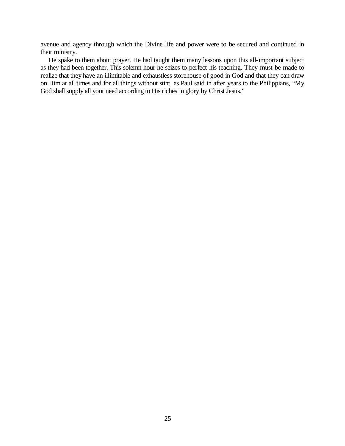avenue and agency through which the Divine life and power were to be secured and continued in their ministry.

He spake to them about prayer. He had taught them many lessons upon this all-important subject as they had been together. This solemn hour he seizes to perfect his teaching. They must be made to realize that they have an illimitable and exhaustless storehouse of good in God and that they can draw on Him at all times and for all things without stint, as Paul said in after years to the Philippians, "My God shall supply all your need according to His riches in glory by Christ Jesus."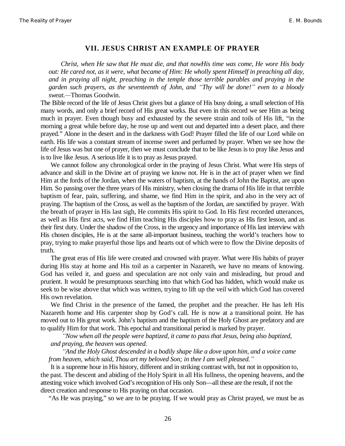#### **VII. JESUS CHRIST AN EXAMPLE OF PRAYER**

*Christ, when He saw that He must die, and that nowHis time was come, He wore His body out: He cared not, as it were, what became of Him: He wholly spent Himself in preaching all day, and in praying all night, preaching in the temple those terrible parables and praying in the garden such prayers, as the seventeenth of John, and ³Thy will be done!´ even to a bloody sweat.²*Thomas Goodwin.

The Bible record of the life of Jesus Christ gives but a glance of His busy doing, a small selection of His many words, and only a brief record of His great works. But even in this record we see Him as being much in prayer. Even though busy and exhausted by the severe strain and toils of His lift, "in the morning a great while before day, he rose up and went out and departed into a desert place, and there prayed." Alone in the desert and in the darkness with God! Prayer filled the life of our Lord while on earth. His life was a constant stream of incense sweet and perfumed by prayer. When we see how the life of Jesus was but one of prayer, then we must conclude that to be like Jesus is to pray like Jesus and is to live like Jesus. A serious life it is to pray as Jesus prayed.

We cannot follow any chronological order in the praying of Jesus Christ. What were His steps of advance and skill in the Divine art of praying we know not. He is in the act of prayer when we find Him at the fords of the Jordan, when the waters of baptism, at the hands of John the Baptist, are upon Him. So passing over the three years of His ministry, when closing the drama of His life in that terrible baptism of fear, pain, suffering, and shame, we find Him in the spirit, and also in the very act of praying. The baptism of the Cross, as well as the baptism of the Jordan, are sanctified by prayer. With the breath of prayer in His last sigh, He commits His spirit to God. In His first recorded utterances, as well as His first acts, we find Him teaching His disciples how to pray as His first lesson, and as their first duty. Under the shadow of the Cross, in the urgency and importance of His last interview with His chosen disciples, He is at the same all-important business, teaching the world's teachers how to pray, trying to make prayerful those lips and hearts out of which were to flow the Divine deposits of truth.

The great eras of His life were created and crowned with prayer. What were His habits of prayer during His stay at home and His toil as a carpenter in Nazareth, we have no means of knowing. God has veiled it, and guess and speculation are not only vain and misleading, but proud and prurient. It would be presumptuous searching into that which God has hidden, which would make us seek to be wise above that which was written, trying to lift up the veil with which God has covered His own revelation.

We find Christ in the presence of the famed, the prophet and the preacher. He has left His Nazareth home and His carpenter shop by God's call. He is now at a transitional point. He has moved out to His great work. John's baptism and the baptism of the Holy Ghost are prefatory and are to qualify Him for that work. This epochal and transitional period is marked by prayer.

*³Now when all the people were baptized, it came to pass that Jesus, being also baptized, and praying, the heaven was opened.*

*³And the Holy Ghost descended in a bodily shape like a dove upon him, and a voice came from heaven, which said, Thou art my beloved Son; in thee I am well pleased.´*

It is a supreme hour in His history, different and in striking contrast with, but not in opposition to, the past. The descent and abiding of the Holy Spirit in all His fullness, the opening heavens, and the attesting voice which involved God's recognition of His only Son—all these are the result, if not the direct creation and response to His praying on that occasion.

"As He was praying," so we are to be praying. If we would pray as Christ prayed, we must be as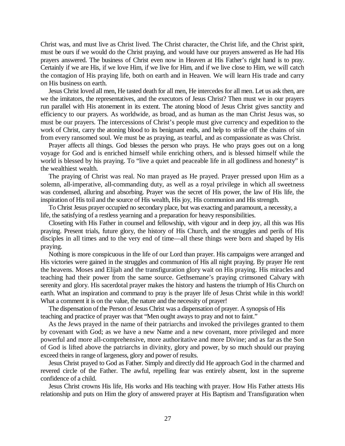Christ was, and must live as Christ lived. The Christ character, the Christ life, and the Christ spirit, must be ours if we would do the Christ praying, and would have our prayers answered as He had His prayers answered. The business of Christ even now in Heaven at His Father's right hand is to pray. Certainly if we are His, if we love Him, if we live for Him, and if we live close to Him, we will catch the contagion of His praying life, both on earth and in Heaven. We will learn His trade and carry on His business on earth.

Jesus Christ loved all men, He tasted death for all men, He intercedes for all men. Let us ask then, are we the imitators, the representatives, and the executors of Jesus Christ? Then must we in our prayers run parallel with His atonement in its extent. The atoning blood of Jesus Christ gives sanctity and efficiency to our prayers. As worldwide, as broad, and as human as the man Christ Jesus was, so must be our prayers. The intercessions of Christ's people must give currency and expedition to the work of Christ, carry the atoning blood to its benignant ends, and help to strike off the chains of sin from every ransomed soul. We must be as praying, as tearful, and as compassionate as was Christ.

Prayer affects all things. God blesses the person who prays. He who prays goes out on a long voyage for God and is enriched himself while enriching others, and is blessed himself while the world is blessed by his praying. To "live a quiet and peaceable life in all godliness and honesty" is the wealthiest wealth.

The praying of Christ was real. No man prayed as He prayed. Prayer pressed upon Him as a solemn, all-imperative, all-commanding duty, as well as a royal privilege in which all sweetness was condensed, alluring and absorbing. Prayer was the secret of His power, the law of His life, the inspiration of His toil and the source of His wealth, His joy, His communion and His strength.

To Christ Jesus prayer occupied no secondary place, but was exacting and paramount, a necessity, a life, the satisfying of a restless yearning and a preparation for heavy responsibilities.

Closeting with His Father in counsel and fellowship, with vigour and in deep joy, all this was His praying. Present trials, future glory, the history of His Church, and the struggles and perils of His disciples in all times and to the very end of time—all these things were born and shaped by His praying.

Nothing is more conspicuous in the life of our Lord than prayer. His campaigns were arranged and His victories were gained in the struggles and communion of His all night praying. By prayer He rent the heavens. Moses and Elijah and the transfiguration glory wait on His praying. His miracles and teaching had their power from the same source. Gethsemane's praying crimsoned Calvary with serenity and glory. His sacerdotal prayer makes the history and hastens the triumph of His Church on earth. What an inspiration and command to pray is the prayer life of Jesus Christ while in this world! What a comment it is on the value, the nature and the necessity of prayer!

The dispensation of the Person of Jesus Christ was a dispensation of prayer. A synopsis of His teaching and practice of prayer was that "Men ought aways to pray and not to faint."

As the Jews prayed in the name of their patriarchs and invoked the privileges granted to them by covenant with God; as we have a new Name and a new covenant, more privileged and more powerful and more all-comprehensive, more authoritative and more Divine; and as far as the Son of God is lifted above the patriarchs in divinity, glory and power, by so much should our praying exceed theirs in range of largeness, glory and power of results.

Jesus Christ prayed to God as Father. Simply and directly did He approach God in the charmed and revered circle of the Father. The awful, repelling fear was entirely absent, lost in the supreme confidence of a child.

Jesus Christ crowns His life, His works and His teaching with prayer. How His Father attests His relationship and puts on Him the glory of answered prayer at His Baptism and Transfiguration when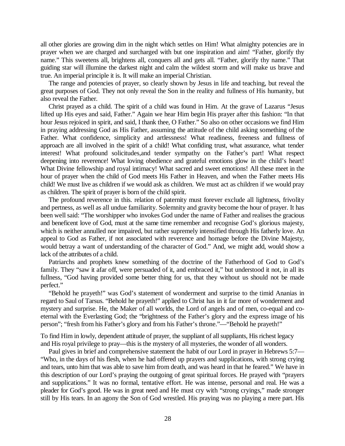all other glories are growing dim in the night which settles on Him! What almighty potencies are in prayer when we are charged and surcharged with but one inspiration and aim! "Father, glorify thy name." This sweetens all, brightens all, conquers all and gets all. "Father, glorify thy name." That guiding star will illumine the darkest night and calm the wildest storm and will make us brave and true. An imperial principle it is. It will make an imperial Christian.

The range and potencies of prayer, so clearly shown by Jesus in life and teaching, but reveal the great purposes of God. They not only reveal the Son in the reality and fullness of His humanity, but also reveal the Father.

Christ prayed as a child. The spirit of a child was found in Him. At the grave of Lazarus "Jesus lifted up His eyes and said, Father." Again we hear Him begin His prayer after this fashion: "In that hour Jesus rejoiced in spirit, and said, I thank thee, O Father." So also on other occasions we find Him in praying addressing God as His Father, assuming the attitude of the child asking something of the Father. What confidence, simplicity and artlessness! What readiness, freeness and fullness of approach are all involved in the spirit of a child! What confiding trust, what assurance, what tender interest! What profound solicitudes,and tender sympathy on the Father's part! What respect deepening into reverence! What loving obedience and grateful emotions glow in the child's heart! What Divine fellowship and royal intimacy! What sacred and sweet emotions! All these meet in the hour of prayer when the child of God meets His Father in Heaven, and when the Father meets His child! We must live as children if we would ask as children. We must act as children if we would pray as children. The spirit of prayer is born of the child spirit.

The profound reverence in this. relation of paternity must forever exclude all lightness, frivolity and pertness, as well as all undue familiarity. Solemnity and gravity become the hour of prayer. It has been well said: "The worshipper who invokes God under the name of Father and realises the gracious and beneficent love of God, must at the same time remember and recognise God's glorious majesty, which is neither annulled nor impaired, but rather supremely intensified through His fatherly love. An appeal to God as Father, if not associated with reverence and homage before the Divine Majesty, would betray a want of understanding of the character of God." And, we might add, would show a lack of the attributes of a child.

Patriarchs and prophets knew something of the doctrine of the Fatherhood of God to God's family. They "saw it afar off, were persuaded of it, and embraced it," but understood it not, in all its fullness, "God having provided some better thing for us, that they without us should not be made perfect."

"Behold he prayeth!" was God's statement of wonderment and surprise to the timid Ananias in regard to Saul of Tarsus. "Behold he prayeth!" applied to Christ has in it far more of wonderment and mystery and surprise. He, the Maker of all worlds, the Lord of angels and of men, co-equal and coeternal with the Everlasting God; the "brightness of the Father's glory and the express image of his person"; "fresh from his Father's glory and from his Father's throne."—"Behold he prayeth!"

To find Him in lowly, dependent attitude of prayer, the suppliant of all suppliants, His richest legacy and His royal privilege to pray—this is the mystery of all mysteries, the wonder of all wonders.

Paul gives in brief and comprehensive statement the habit of our Lord in prayer in Hebrews 5:7— "Who, in the days of his flesh, when he had offered up prayers and supplications, with strong crying and tears, unto him that was able to save him from death, and was heard in that he feared." We have in this description of our Lord's praying the outgoing of great spiritual forces. He prayed with "prayers and supplications." It was no formal, tentative effort. He was intense, personal and real. He was a pleader for God's good. He was in great need and He must cry with "strong cryings," made stronger still by His tears. In an agony the Son of God wrestled. His praying was no playing a mere part. His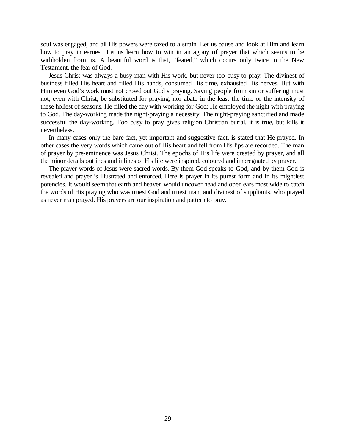soul was engaged, and all His powers were taxed to a strain. Let us pause and look at Him and learn how to pray in earnest. Let us learn how to win in an agony of prayer that which seems to be withholden from us. A beautiful word is that, "feared," which occurs only twice in the New Testament, the fear of God.

Jesus Christ was always a busy man with His work, but never too busy to pray. The divinest of business filled His heart and filled His hands, consumed His time, exhausted His nerves. But with Him even God's work must not crowd out God's praying. Saving people from sin or suffering must not, even with Christ, be substituted for praying, nor abate in the least the time or the intensity of these holiest of seasons. He filled the day with working for God; He employed the night with praying to God. The day-working made the night-praying a necessity. The night-praying sanctified and made successful the day-working. Too busy to pray gives religion Christian burial, it is true, but kills it nevertheless.

In many cases only the bare fact, yet important and suggestive fact, is stated that He prayed. In other cases the very words which came out of His heart and fell from His lips are recorded. The man of prayer by pre-eminence was Jesus Christ. The epochs of His life were created by prayer, and all the minor details outlines and inlines of His life were inspired, coloured and impregnated by prayer.

The prayer words of Jesus were sacred words. By them God speaks to God, and by them God is revealed and prayer is illustrated and enforced. Here is prayer in its purest form and in its mightiest potencies. It would seem that earth and heaven would uncover head and open ears most wide to catch the words of His praying who was truest God and truest man, and divinest of suppliants, who prayed as never man prayed. His prayers are our inspiration and pattern to pray.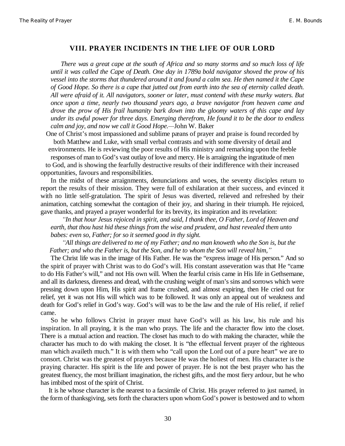## **VIII. PRAYER INCIDENTS IN THE LIFE OF OUR LORD**

*There was a great cape at the south of Africa and so many storms and so much loss of life until it was called the Cape of Death. One day in 1789a bold navigator shoved the prow of his vessel into the storms that thundered around it and found a calm sea. He then named it the Cape of Good Hope. So there is a cape that jutted out from earth into the sea of eternity called death. All were afraid of it. All navigators, sooner or later, must contend with these murky waters. But once upon a time, nearly two thousand years ago, a brave navigator from heaven came and drove the prow of His frail humanity bark down into the gloomy waters of this cape and lay under its awful power for three days. Emerging therefrom, He found it to be the door to endless calm and joy, and now we call it Good Hope.²*John W. Baker

One of Christ's most impassioned and sublime pæans of prayer and praise is found recorded by both Matthew and Luke, with small verbal contrasts and with some diversity of detail and

environments. He is reviewing the poor results of His ministry and remarking upon the feeble responses of man to God's vast outlay of love and mercy. He is arraigning the ingratitude of men

to God, and is showing the fearfully destructive results of their indifference with their increased opportunities, favours and responsibilities.

In the midst of these arraignments, denunciations and woes, the seventy disciples return to report the results of their mission. They were full of exhilaration at their success, and evinced it with no little self-gratulation. The spirit of Jesus was diverted, relieved and refreshed by their animation, catching somewhat the contagion of their joy, and sharing in their triumph. He rejoiced, gave thanks, and prayed a prayer wonderful for its brevity, its inspiration and its revelation:

*³In that hour Jesus rejoiced in spirit, and said, I thank thee, O Father, Lord of Heaven and earth, that thou hast hid these things from the wise and prudent, and hast revealed them unto babes: even so, Father; for so it seemed good in thy sight.*

*³All things are delivered to me of my Father; and no man knoweth who the Son is, but the Father; and who the Father is, but the Son, and he to whom the Son will reveal him,´*

The Christ life was in the image of His Father. He was the "express image of His person." And so the spirit of prayer with Christ was to do God's will. His constant asseveration was that He "came to do His Father's will," and not His own will. When the fearful crisis came in His life in Gethsemane, and all its darkness, direness and dread, with the crushing weight of man's sins and sorrows which were pressing down upon Him, His spirit and frame crushed, and almost expiring, then He cried out for relief, yet it was not His will which was to be followed. It was only an appeal out of weakness and death for God's relief in God's way. God's will was to be the law and the rule of His relief, if relief came.

So he who follows Christ in prayer must have God's will as his law, his rule and his inspiration. In all praying, it is the man who prays. The life and the character flow into the closet. There is a mutual action and reaction. The closet has much to do with making the character, while the character has much to do with making the closet. It is "the effectual fervent prayer of the righteous man which availeth much." It is with them who "call upon the Lord out of a pure heart" we are to consort. Christ was the greatest of prayers because He was the holiest of men. His character is the praying character. His spirit is the life and power of prayer. He is not the best prayer who has the greatest fluency, the most brilliant imagination, the richest gifts, and the most fiery ardour, but he who has imbibed most of the spirit of Christ.

It is he whose character is the nearest to a facsimile of Christ. His prayer referred to just named, in the form of thanksgiving, sets forth the characters upon whom God's power is bestowed and to whom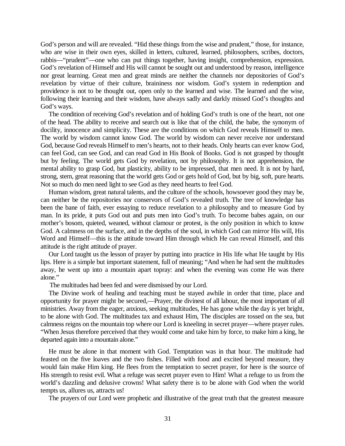God's person and will are revealed. "Hid these things from the wise and prudent," those, for instance, who are wise in their own eyes, skilled in letters, cultured, learned, philosophers, scribes, doctors, rabbis—"prudent"—one who can put things together, having insight, comprehension, expression. God's revelation of Himself and His will cannot be sought out and understood by reason, intelligence nor great learning. Great men and great minds are neither the channels nor depositories of God's revelation by virtue of their culture, braininess nor wisdom. God's system in redemption and providence is not to be thought out, open only to the learned and wise. The learned and the wise, following their learning and their wisdom, have always sadly and darkly missed God's thoughts and God's ways.

The condition of receiving God's revelation and of holding God's truth is one of the heart, not one of the head. The ability to receive and search out is like that of the child, the babe, the synonym of docility, innocence and simplicity. These are the conditions on which God reveals Himself to men. The world by wisdom cannot know God. The world by wisdom can never receive nor understand God, because God reveals Himself to men's hearts, not to their heads. Only hearts can ever know God, can feel God, can see God, and can read God in His Book of Books. God is not grasped by thought but by feeling. The world gets God by revelation, not by philosophy. It is not apprehension, the mental ability to grasp God, but plasticity, ability to be impressed, that men need. It is not by hard, strong, stern, great reasoning that the world gets God or gets hold of God, but by big, soft, pure hearts. Not so much do men need light to see God as they need hearts to feel God.

Human wisdom, great natural talents, and the culture of the schools, howsoever good they may be, can neither be the repositories nor conservors of God's revealed truth. The tree of knowledge has been the bane of faith, ever essaying to reduce revelation to a philosophy and to measure God by man. In its pride, it puts God out and puts men into God's truth. To become babes again, on our mother's bosom, quieted, weaned, without clamour or protest, is the only position in which to know God. A calmness on the surface, and in the depths of the soul, in which God can mirror His will, His Word and Himself—this is the attitude toward Him through which He can reveal Himself, and this attitude is the right attitude of prayer.

Our Lord taught us the lesson of prayer by putting into practice in His life what He taught by His lips. Here is a simple but important statement, full of meaning; "And when he had sent the multitudes away, he went up into a mountain apart topray: and when the evening was come He was there alone."

The multitudes had been fed and were dismissed by our Lord.

The Divine work of healing and teaching must be stayed awhile in order that time, place and opportunity for prayer might be secured,—Prayer, the divinest of all labour, the most important of all ministries. Away from the eager, anxious, seeking multitudes, He has gone while the day is yet bright, to be alone with God. The multitudes tax and exhaust Him, The disciples are tossed on the sea, but calmness reigns on the mountain top where our Lord is kneeling in secret prayer—where prayer rules. "When Jesus therefore perceived that they would come and take him by force, to make him a king, he departed again into a mountain alone."

He must be alone in that moment with God. Temptation was in that hour. The multitude had feasted on the five loaves and the two fishes. Filled with food and excited beyond measure, they would fain make Him king. He flees from the temptation to secret prayer, for here is the source of His strength to resist evil. What a refuge was secret prayer even to Him! What a refuge to us from the world's dazzling and delusive crowns! What safety there is to be alone with God when the world tempts us, allures us, attracts us!

The prayers of our Lord were prophetic and illustrative of the great truth that the greatest measure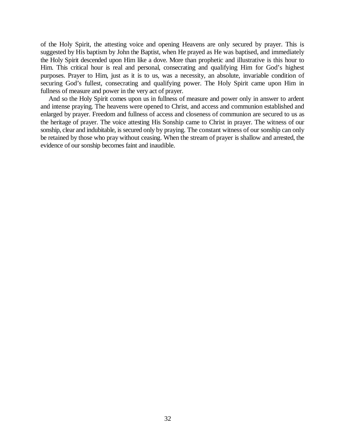of the Holy Spirit, the attesting voice and opening Heavens are only secured by prayer. This is suggested by His baptism by John the Baptist, when He prayed as He was baptised, and immediately the Holy Spirit descended upon Him like a dove. More than prophetic and illustrative is this hour to Him. This critical hour is real and personal, consecrating and qualifying Him for God's highest purposes. Prayer to Him, just as it is to us, was a necessity, an absolute, invariable condition of securing God's fullest, consecrating and qualifying power. The Holy Spirit came upon Him in fullness of measure and power in the very act of prayer.

And so the Holy Spirit comes upon us in fullness of measure and power only in answer to ardent and intense praying. The heavens were opened to Christ, and access and communion established and enlarged by prayer. Freedom and fullness of access and closeness of communion are secured to us as the heritage of prayer. The voice attesting His Sonship came to Christ in prayer. The witness of our sonship, clear and indubitable, is secured only by praying. The constant witness of our sonship can only be retained by those who pray without ceasing. When the stream of prayer is shallow and arrested, the evidence of our sonship becomes faint and inaudible.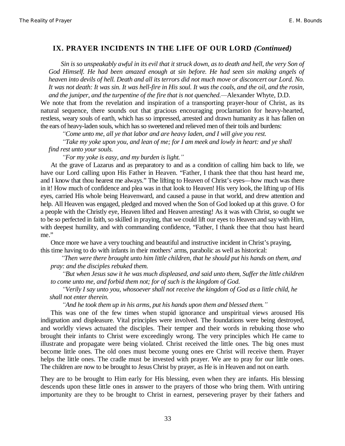#### **IX. PRAYER INCIDENTS IN THE LIFE OF OUR LORD** *(Continued)*

*Sin is so unspeakably awful in its evil that it struck down, as to death and hell, the very Son of God Himself. He had been amazed enough at sin before. He had seen sin making angels of heaven into devils of hell. Death and all its terrors did not much move or disconcert our Lord. No. It was not death: It was sin. It was hell-fire in His soul. It was the coals, and the oil, and the rosin, and the juniper, and the turpentine of the fire that is not quenched.—Alexander Whyte, D.D.* 

We note that from the revelation and inspiration of a transporting prayer-hour of Christ, as its natural sequence, there sounds out that gracious encouraging proclamation for heavy-hearted, restless, weary souls of earth, which has so impressed, arrested and drawn humanity as it has fallen on the ears of heavy-laden souls, which has so sweetened and relieved men of their toils and burdens:

*³Come unto me, all ye that labor and are heavy laden, and I will give you rest.*

*³Take my yoke upon you, and lean of me; for I am meek and lowly in heart: and ye shall find rest unto your souls.*

*³For my yoke is easy, and my burden is light.´*

At the grave of Lazarus and as preparatory to and as a condition of calling him back to life, we have our Lord calling upon His Father in Heaven. "Father, I thank thee that thou hast heard me, and I know that thou hearest me always." The lifting to Heaven of Christ's eyes—how much was there in it! How much of confidence and plea was in that look to Heaven! His very look, the lifting up of His eyes, carried His whole being Heavenward, and caused a pause in that world, and drew attention and help. All Heaven was engaged, pledged and moved when the Son of God looked up at this grave. O for a people with the Christly eye, Heaven lifted and Heaven arresting! As it was with Christ, so ought we to be so perfected in faith, so skilled in praying, that we could lift our eyes to Heaven and say with Him, with deepest humility, and with commanding confidence, "Father, I thank thee that thou hast heard me."

Once more we have a very touching and beautiful and instructive incident in Christ's praying, this time having to do with infants in their mothers' arms, parabolic as well as historical:

*³Then were there brought unto him little children, that he should put his hands on them, and pray: and the disciples rebuked them.*

*³But when Jesus saw it he was much displeased, and said unto them, Suffer the little children to come unto me, and forbid them not; for of such is the kingdom of God.*

*³Verily I say unto you, whosoever shall not receive the kingdom of God as a little child, he shall not enter therein.*

*³And he took them up in his arms, put his hands upon them and blessed them.´*

This was one of the few times when stupid ignorance and unspiritual views aroused His indignation and displeasure. Vital principles were involved. The foundations were being destroyed, and worldly views actuated the disciples. Their temper and their words in rebuking those who brought their infants to Christ were exceedingly wrong. The very principles which He came to illustrate and propagate were being violated. Christ received the little ones. The big ones must become little ones. The old ones must become young ones ere Christ will receive them. Prayer helps the little ones. The cradle must be invested with prayer. We are to pray for our little ones. The children are now to be brought to Jesus Christ by prayer, as He is in Heaven and not on earth.

They are to be brought to Him early for His blessing, even when they are infants. His blessing descends upon these little ones in answer to the prayers of those who bring them. With untiring importunity are they to be brought to Christ in earnest, persevering prayer by their fathers and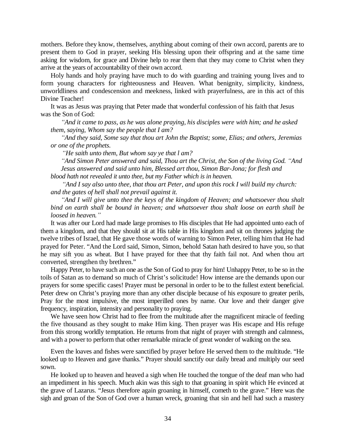mothers. Before they know, themselves, anything about coming of their own accord, parents are to present them to God in prayer, seeking His blessing upon their offspring and at the same time asking for wisdom, for grace and Divine help to rear them that they may come to Christ when they arrive at the years of accountability of their own accord.

Holy hands and holy praying have much to do with guarding and training young lives and to form young characters for righteousness and Heaven. What benignity, simplicity, kindness, unworldliness and condescension and meekness, linked with prayerfulness, are in this act of this Divine Teacher!

It was as Jesus was praying that Peter made that wonderful confession of his faith that Jesus was the Son of God:

*³And it came to pass, as he was alone praying, his disciples were with him; and he asked them, saying, Whom say the people that I am?*

*³And they said, Some say that thou art John the Baptist; some, Elias; and others, Jeremias or one of the prophets.*

*³He saith unto them, But whom say ye that l am?*

 $i$ <sup>4</sup> And Simon Peter answered and said, Thou art the Christ, the Son of the living God. "And *Jesus answered and said unto him, Blessed art thou, Simon Bar-Jona; for flesh and blood hath not revealed it unto thee, but my Father which is in heaven.*

*³And I say also unto thee, that thou art Peter, and upon this rock I will build my church: and the gates of hell shall not prevail against it.*

*³And I will give unto thee the keys of the kingdom of Heaven; and whatsoever thou shalt bind on earth shall be bound in heaven; and whatsoever thou shalt loose on earth shall be loosed in heaven.´*

It was after our Lord had made large promises to His disciples that He had appointed unto each of them a kingdom, and that they should sit at His table in His kingdom and sit on thrones judging the twelve tribes of Israel, that He gave those words of warning to Simon Peter, telling him that He had prayed for Peter. "And the Lord said, Simon, Simon, behold Satan hath desired to have you, so that he may sift you as wheat. But I have prayed for thee that thy faith fail not. And when thou art converted, strengthen thy brethren."

Happy Peter, to have such an one as the Son of God to pray for him! Unhappy Peter, to be so in the toils of Satan as to demand so much of Christ's solicitude! How intense are the demands upon our prayers for some specific cases! Prayer must be personal in order to be to the fullest extent beneficial. Peter drew on Christ's praying more than any other disciple because of his exposure to greater perils, Pray for the most impulsive, the most imperilled ones by name. Our love and their danger give frequency, inspiration, intensity and personality to praying.

We have seen how Christ had to flee from the multitude after the magnificent miracle of feeding the five thousand as they sought to make Him king. Then prayer was His escape and His refuge from this strong worldly temptation. He returns from that night of prayer with strength and calmness, and with a power to perform that other remarkable miracle of great wonder of walking on the sea.

Even the loaves and fishes were sanctified by prayer before He served them to the multitude. "He looked up to Heaven and gave thanks." Prayer should sanctify our daily bread and multiply our seed sown.

He looked up to heaven and heaved a sigh when He touched the tongue of the deaf man who had an impediment in his speech. Much akin was this sigh to that groaning in spirit which He evinced at the grave of Lazarus. "Jesus therefore again groaning in himself, cometh to the grave." Here was the sigh and groan of the Son of God over a human wreck, groaning that sin and hell had such a mastery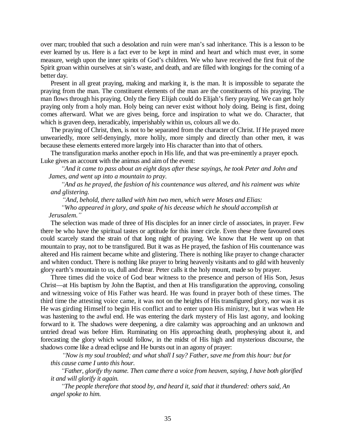over man; troubled that such a desolation and ruin were man's sad inheritance. This is a lesson to be ever learned by us. Here is a fact ever to be kept in mind and heart and which must ever, in some measure, weigh upon the inner spirits of God's children. We who have received the first fruit of the Spirit groan within ourselves at sin's waste, and death, and are filled with longings for the coming of a better day.

Present in all great praying, making and marking it, is the man. It is impossible to separate the praying from the man. The constituent elements of the man are the constituents of his praying. The man flows through his praying. Only the fiery Elijah could do Elijah's fiery praying. We can get holy praying only from a holy man. Holy being can never exist without holy doing. Being is first, doing comes afterward. What we are gives being, force and inspiration to what we do. Character, that which is graven deep, ineradicably, imperishably within us, colours all we do.

The praying of Christ, then, is not to be separated from the character of Christ. If He prayed more unweariedly, more self-denyingly, more holily, more simply and directly than other men, it was because these elements entered more largely into His character than into that of others.

The transfiguration marks another epoch in His life, and that was pre-eminently a prayer epoch. Luke gives an account with the animus and aim of the event:

*³And it came to pass about an eight days after these sayings, he took Peter and John and James, and went up into a mountain to pray.*

*³And as he prayed, the fashion of his countenance was altered, and his raiment was white and glistering.*

*³And, behold, there talked with him two men, which were Moses and Elias:*

*³Who appeared in glory, and spake of his decease which he should accomplish at*

#### *Jerusalem.´*

The selection was made of three of His disciples for an inner circle of associates, in prayer. Few there be who have the spiritual tastes or aptitude for this inner circle. Even these three favoured ones could scarcely stand the strain of that long night of praying. We know that He went up on that mountain to pray, not to be transfigured. But it was as He prayed, the fashion of His countenance was altered and His raiment became white and glistering. There is nothing like prayer to change character and whiten conduct. There is nothing like prayer to bring heavenly visitants and to gild with heavenly glory earth's mountain to us, dull and drear. Peter calls it the holy mount, made so by prayer.

Three times did the voice of God bear witness to the presence and person of His Son, Jesus Christ—at His baptism by John the Baptist, and then at His transfiguration the approving, consoling and witnessing voice of His Father was heard. He was found in prayer both of these times. The third time the attesting voice came, it was not on the heights of His transfigured glory, nor was it as He was girding Himself to begin His conflict and to enter upon His ministry, but it was when He was hastening to the awful end. He was entering the dark mystery of His last agony, and looking forward to it. The shadows were deepening, a dire calamity was approaching and an unknown and untried dread was before Him. Ruminating on His approaching death, prophesying about it, and forecasting the glory which would follow, in the midst of His high and mysterious discourse, the shadows come like a dread eclipse and He bursts out in an agony of prayer:

*³Now is my soul troubled; and what shall I say? Father, save me from this hour: but for*

*this cause came I unto this hour.*

*³Father, glorify thy name. Then came there a voice from heaven, saying, I have both glorified it and will glorify it again.*

*³The people therefore that stood by, and heard it, said that it thundered: others said, An angel spoke to him.*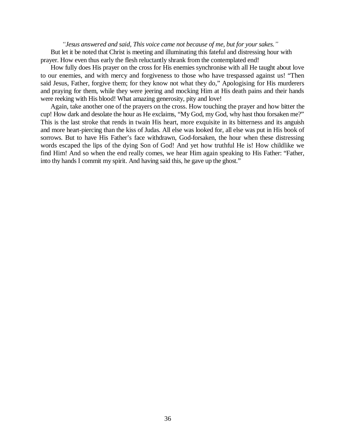*³Jesus answered and said, This voice came not because of me, but for your sakes.´* But let it be noted that Christ is meeting and illuminating this fateful and distressing hour with prayer. How even thus early the flesh reluctantly shrank from the contemplated end!

How fully does His prayer on the cross for His enemies synchronise with all He taught about love to our enemies, and with mercy and forgiveness to those who have trespassed against us! "Then said Jesus, Father, forgive them; for they know not what they do," Apologising for His murderers and praying for them, while they were jeering and mocking Him at His death pains and their hands were reeking with His blood! What amazing generosity, pity and love!

Again, take another one of the prayers on the cross. How touching the prayer and how bitter the cup! How dark and desolate the hour as He exclaims, "My God, my God, why hast thou forsaken me?" This is the last stroke that rends in twain His heart, more exquisite in its bitterness and its anguish and more heart-piercing than the kiss of Judas. All else was looked for, all else was put in His book of sorrows. But to have His Father's face withdrawn, God-forsaken, the hour when these distressing words escaped the lips of the dying Son of God! And yet how truthful He is! How childlike we find Him! And so when the end really comes, we hear Him again speaking to His Father: "Father, into thy hands I commit my spirit. And having said this, he gave up the ghost."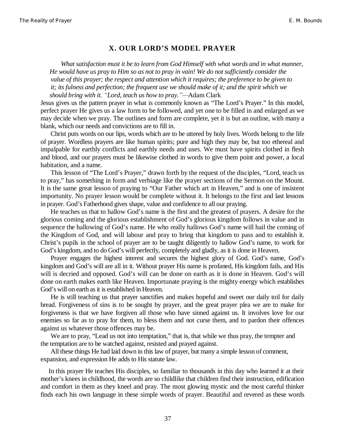#### **X. OUR LORD¶S MODEL PRAYER**

*What satisfaction must it be to learn from God Himself with what words and in what manner, He would have us pray to Him so as not to pray in vain! We do not sufficiently consider the value of this prayer; the respect and attention which it requires; the preference to be given to it; its fulness and perfection; the frequent use we should make of it; and the spirit which we should bring with it. "Lord, teach us how to pray."*—Adam Clark

Jesus gives us the pattern prayer in what is commonly known as "The Lord's Prayer." In this model, perfect prayer He gives us a law form to be followed, and yet one to be filled in and enlarged as we may decide when we pray. The outlines and form are complete, yet it is but an outline, with many a blank, which our needs and convictions are to fill in.

Christ puts words on our lips, words which are to be uttered by holy lives. Words belong to the life of prayer. Wordless prayers are like human spirits; pure and high they may be, but too ethereal and impalpable for earthly conflicts and earthly needs and uses. We must have spirits clothed in flesh and blood, and our prayers must be likewise clothed in words to give them point and power, a local habitation, and a name.

This lesson of "The Lord's Prayer," drawn forth by the request of the disciples, "Lord, teach us to pray," has something in form and verbiage like the prayer sections of the Sermon on the Mount. It is the same great lesson of praying to "Our Father which art in Heaven," and is one of insistent importunity. No prayer lesson would be complete without it. It belongs to the first and last lessons in prayer. God's Fatherhood gives shape, value and confidence to all our praying.

He teaches us that to hallow God's name is the first and the greatest of prayers. A desire for the glorious coming and the glorious establishment of God's glorious kingdom follows in value and in sequence the hallowing of God's name. He who really hallows God's name will hail the coming of the Kingdom of God, and will labour and pray to bring that kingdom to pass and to establish it. Christ's pupils in the school of prayer are to be taught diligently to hallow God's name, to work for God's kingdom, and to do God's will perfectly, completely and gladly, as it is done in Heaven.

Prayer engages the highest interest and secures the highest glory of God. God's name, God's kingdom and God's will are all in it. Without prayer His name is profaned, His kingdom fails, and His will is decried and opposed. God's will can be done on earth as it is done in Heaven. God's will done on earth makes earth like Heaven. Importunate praying is the mighty energy which establishes God's will on earth as it is established in Heaven.

He is still teaching us that prayer sanctifies and makes hopeful and sweet our daily toil for daily bread. Forgiveness of sins is to be sought by prayer, and the great prayer plea we are to make for forgiveness is that we have forgiven all those who have sinned against us. It involves love for our enemies so far as to pray for them, to bless them and not curse them, and to pardon their offences against us whatever those offences may be.

We are to pray, "Lead us not into temptation," that is, that while we thus pray, the tempter and the temptation are to be watched against, resisted and prayed against.

All these things He had laid down in this law of prayer, but many a simple lesson of comment, expansion, and expression He adds to His statute law.

In this prayer He teaches His disciples, so familiar to thousands in this day who learned it at their mother's knees in childhood, the words are so childlike that children find their instruction, edification and comfort in them as they kneel and pray. The most glowing mystic and the most careful thinker finds each his own language in these simple words of prayer. Beautiful and revered as these words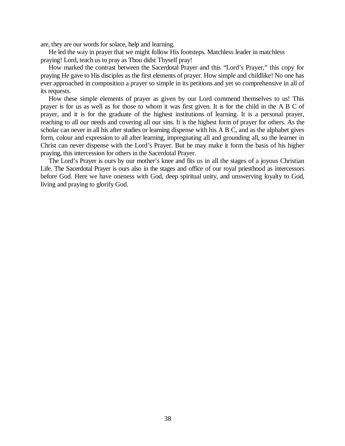are, they are our words for solace, help and learning.

He led the way in prayer that we might follow His footsteps. Matchless leader in matchless praying! Lord, teach us to pray as Thou didst Thyself pray!

How marked the contrast between the Sacerdotal Prayer and this "Lord's Prayer," this copy for praying He gave to His disciples as the first elements of prayer. How simple and childlike! No one has ever approached in composition a prayer so simple in its petitions and yet so comprehensive in all of its requests.

How these simple elements of prayer as given by our Lord commend themselves to us! This prayer is for us as well as for those to whom it was first given. It is for the child in the A B C of prayer, and it is for the graduate of the highest institutions of learning. It is a personal prayer, reaching to all our needs and covering all our sins. It is the highest form of prayer for others. As the scholar can never in all his after studies or learning dispense with his A B C, and as the alphabet gives form, colour and expression to all after learning, impregnating all and grounding all, so the learner in Christ can never dispense with the Lord's Prayer. But he may make it form the basis of his higher praying, this intercession for others in the Sacerdotal Prayer.

The Lord's Prayer is ours by our mother's knee and fits us in all the stages of a joyous Christian Life. The Sacerdotal Prayer is ours also in the stages and office of our royal priesthood as intercessors before God. Here we have oneness with God, deep spiritual unity, and unswerving loyalty to God, living and praying to glorify God.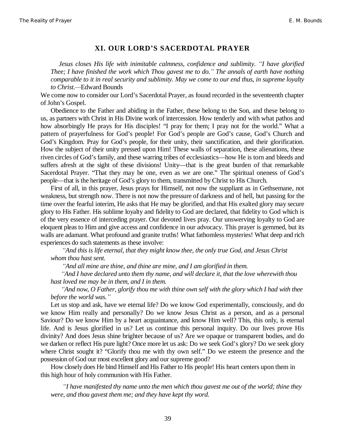#### **XI. OUR LORD¶S SACERDOTAL PRAYER**

*Jesus closes His life with inimitable calmness, confidence and sublimity. 'I have glorified Thee; I have finished the work which Thou gavest me to do.´ The annals of earth have nothing comparable to it in real security and sublimity. May we come to our end thus, in supreme loyalty* to Christ.—Edward Bounds

We come now to consider our Lord's Sacerdotal Prayer, as found recorded in the seventeenth chapter of John's Gospel.

Obedience to the Father and abiding in the Father, these belong to the Son, and these belong to us, as partners with Christ in His Divine work of intercession. How tenderly and with what pathos and how absorbingly He prays for His disciples! "I pray for them; I pray not for the world." What a pattern of prayerfulness for God's people! For God's people are God's cause, God's Church and God's Kingdom. Pray for God's people, for their unity, their sanctification, and their glorification. How the subject of their unity pressed upon Him! These walls of separation, these alienations, these riven circles of God's family, and these warring tribes of ecclesiastics—how He is torn and bleeds and suffers afresh at the sight of these divisions! Unity—that is the great burden of that remarkable Sacerdotal Prayer. "That they may be one, even as we are one." The spiritual oneness of God's people—that is the heritage of God's glory to them, transmitted by Christ to His Church.

First of all, in this prayer, Jesus prays for Himself, not now the suppliant as in Gethsemane, not weakness, but strength now. There is not now the pressure of darkness and of hell, but passing for the time over the fearful interim, He asks that He may be glorified, and that His exalted glory may secure glory to His Father. His sublime loyalty and fidelity to God are declared, that fidelity to God which is of the very essence of interceding prayer. Our devoted lives pray. Our unswerving loyalty to God are eloquent pleas to Him and give access and confidence in our advocacy. This prayer is gemmed, but its walls are adamant. What profound and granite truths! What fathomless mysteries! What deep and rich experiences do such statements as these involve:

*³And this is life eternal, that they might know thee, the only true God, and Jesus Christ whom thou hast sent.*

*³And all mine are thine, and thine are mine, and I am glorified in them.*

*³And I have declared unto them thy name, and will declare it, that the love wherewith thou hast loved me may be in them, and I in them.*

*³And now, O Father, glorify thou me with thine own self with the glory which I had with thee before the world was.´*

Let us stop and ask, have we eternal life? Do we know God experimentally, consciously, and do we know Him really and personally? Do we know Jesus Christ as a person, and as a personal Saviour? Do we know Him by a heart acquaintance, and know Him well? This, this only, is eternal life. And is Jesus glorified in us? Let us continue this personal inquiry. Do our lives prove His divinity? And does Jesus shine brighter because of us? Are we opaque or transparent bodies, and do we darken or reflect His pure light? Once more let us ask: Do we seek God's glory? Do we seek glory where Christ sought it? "Glorify thou me with thy own self." Do we esteem the presence and the possession of God our most excellent glory and our supreme good?

How closely does He bind Himself and His Father to His people! His heart centers upon them in this high hour of holy communion with His Father.

*³I have manifested thy name unto the men which thou gavest me out of the world; thine they were, and thou gavest them me; and they have kept thy word.*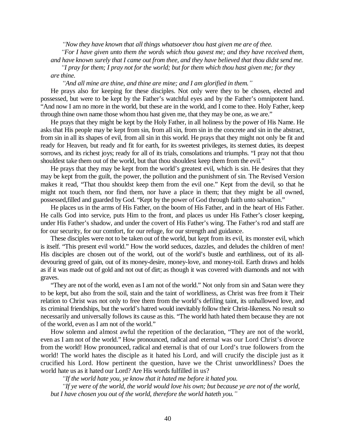*³Now they have known that all things whatsoever thou hast given me are of thee.*

*³For I have given unto them the words which thou gavest me; and they have received them, and have known surely that I came out from thee, and they have believed that thou didst send me.*

*³I pray for them; I pray not for the world; but for them which thou hast given me; for they are thine.*

*³And all mine are thine, and thine are mine; and I am glorified in them.´*

He prays also for keeping for these disciples. Not only were they to be chosen, elected and possessed, but were to be kept by the Father's watchful eyes and by the Father's omnipotent hand. "And now I am no more in the world, but these are in the world, and I come to thee. Holy Father, keep through thine own name those whom thou hast given me, that they may be one, as we are."

He prays that they might be kept by the Holy Father, in all holiness by the power of His Name. He asks that His people may be kept from sin, from all sin, from sin in the concrete and sin in the abstract, from sin in all its shapes of evil, from all sin in this world. He prays that they might not only be fit and ready for Heaven, but ready and fit for earth, for its sweetest privileges, its sternest duties, its deepest sorrows, and its richest joys; ready for all of its trials, consolations and triumphs. "I pray not that thou shouldest take them out of the world, but that thou shouldest keep them from the evil."

He prays that they may be kept from the world's greatest evil, which is sin. He desires that they may be kept from the guilt, the power, the pollution and the punishment of sin. The Revised Version makes it read, "That thou shouldst keep them from the evil one." Kept from the devil, so that he might not touch them, nor find them, nor have a place in them; that they might be all owned, possessed,filled and guarded by God. "Kept by the power of God through faith unto salvation."

He places us in the arms of His Father, on the boom of His Father, and in the heart of His Father. He calls God into service, puts Him to the front, and places us under His Father's closer keeping, under His Father's shadow, and under the covert of His Father's wing. The Father's rod and staff are for our security, for our comfort, for our refuge, for our strength and guidance.

These disciples were not to be taken out of the world, but kept from its evil, its monster evil, which is itself. "This present evil world." How the world seduces, dazzles, and deludes the children of men! His disciples are chosen out of the world, out of the world's bustle and earthliness, out of its alldevouring greed of gain, out of its money-desire, money-love, and money-toil. Earth draws and holds as if it was made out of gold and not out of dirt; as though it was covered with diamonds and not with graves.

"They are not of the world, even as I am not of the world." Not only from sin and Satan were they to be kept, but also from the soil, stain and the taint of worldliness, as Christ was free from it Their relation to Christ was not only to free them from the world's defiling taint, its unhallowed love, and its criminal friendships, but the world's hatred would inevitably follow their Christ-likeness. No result so necessarily and universally follows its cause as this. "The world hath hated them because they are not of the world, even as I am not of the world."

How solemn and almost awful the repetition of the declaration, "They are not of the world, even as I am not of the world." How pronounced, radical and eternal was our Lord Christ's divorce from the world! How pronounced, radical and eternal is that of our Lord's true followers from the world! The world hates the disciple as it hated his Lord, and will crucify the disciple just as it crucified his Lord. How pertinent the question, have we the Christ unworldliness? Does the world hate us as it hated our Lord? Are His words fulfilled in us?

*³If the world hate you, ye know that it hated me before it hated you.*

*³If ye were of the world, the world would love his own; but because ye are not of the world, but I have chosen you out of the world, therefore the world hateth you.´*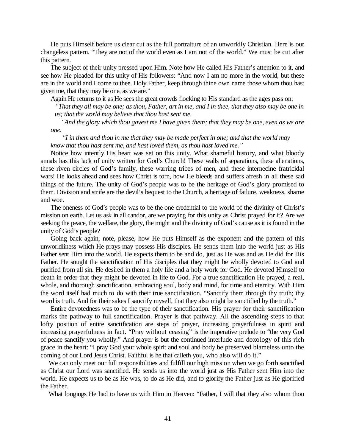He puts Himself before us clear cut as the full portraiture of an unworldly Christian. Here is our changeless pattern. "They are not of the world even as I am not of the world." We must be cut after this pattern.

The subject of their unity pressed upon Him. Note how He called His Father's attention to it, and see how He pleaded for this unity of His followers: "And now I am no more in the world, but these are in the world and I come to thee. Holy Father, keep through thine own name those whom thou hast given me, that they may be one, as we are."

Again He returns to it as He sees the great crowds flocking to His standard as the ages pass on:

*³That they all may be one; as thou, Father, art in me, and I in thee, that they also may be one in us; that the world may believe that thou hast sent me.*

*³And the glory which thou gavest me I have given them; that they may be one, even as we are one.*

*³I in them and thou in me that they may be made perfect in one; and that the world may know that thou hast sent me, and hast loved them, as thou hast loved me.´*

Notice how intently His heart was set on this unity. What shameful history, and what bloody annals has this lack of unity written for God's Church! These walls of separations, these alienations, these riven circles of God's family, these warring tribes of men, and these internecine fratricidal wars! He looks ahead and sees how Christ is torn, how He bleeds and suffers afresh in all these sad things of the future. The unity of God's people was to be the heritage of God's glory promised to them. Division and strife are the devil's bequest to the Church, a heritage of failure, weakness, shame and woe.

The oneness of God's people was to be the one credential to the world of the divinity of Christ's mission on earth. Let us ask in all candor, are we praying for this unity as Christ prayed for it? Are we seeking the peace, the welfare, the glory, the might and the divinity of God's cause as it is found in the unity of God's people?

Going back again, note, please, how He puts Himself as the exponent and the pattern of this unworldliness which He prays may possess His disciples. He sends them into the world just as His Father sent Him into the world. He expects them to be and do, just as He was and as He did for His Father. He sought the sanctification of His disciples that they might be wholly devoted to God and purified from all sin. He desired in them a holy life and a holy work for God. He devoted Himself to death in order that they might be devoted in life to God. For a true sanctification He prayed, a real, whole, and thorough sanctification, embracing soul, body and mind, for time and eternity. With Him the word itself had much to do with their true sanctification. "Sanctify them through thy truth; thy word is truth. And for their sakes I sanctify myself, that they also might be sanctified by the truth."

Entire devotedness was to be the type of their sanctification. His prayer for their sanctification marks the pathway to full sanctification. Prayer is that pathway. All the ascending steps to that lofty position of entire sanctification are steps of prayer, increasing prayerfulness in spirit and increasing prayerfulness in fact. "Pray without ceasing" is the imperative prelude to "the very God of peace sanctify you wholly." And prayer is but the continued interlude and doxology of this rich grace in the heart: "I pray God your whole spirit and soul and body be preserved blameless unto the coming of our Lord Jesus Christ. Faithful is he that calleth you, who also will do it."

We can only meet our full responsibilities and fulfill our high mission when we go forth sanctified as Christ our Lord was sanctified. He sends us into the world just as His Father sent Him into the world. He expects us to be as He was, to do as He did, and to glorify the Father just as He glorified the Father.

What longings He had to have us with Him in Heaven: "Father, I will that they also whom thou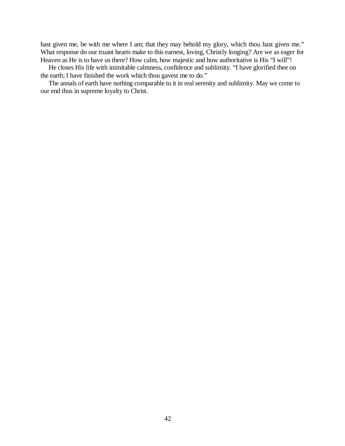hast given me, be with me where I am; that they may behold my glory, which thou hast given me." What response do our truant hearts make to this earnest, loving, Christly longing? Are we as eager for Heaven as He is to have us there? How calm, how majestic and how authoritative is His "I will"!

He closes His life with inimitable calmness, confidence and sublimity. "I have glorified thee on the earth; I have finished the work which thou gavest me to do."

The annals of earth have nothing comparable to it in real serenity and sublimity. May we come to our end thus in supreme loyalty to Christ.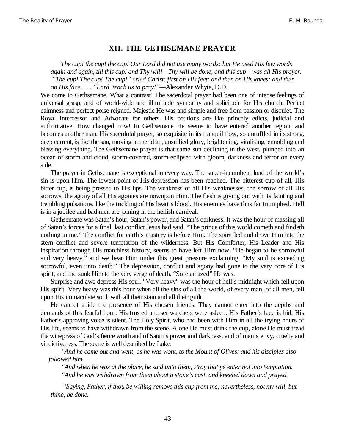#### **XII. THE GETHSEMANE PRAYER**

*The cup! the cup! the cup! Our Lord did not use many words: but He used His few words again and again, till this cup! and Thy will!²Thy will be done, and this cup²was all His prayer. ³The cup! The cup! The cup!´ cried Christ: first on His feet: and then on His knees: and then on His face....* "*Lord, teach us to pray!*"—Alexander Whyte, D.D.

We come to Gethsamane. What a contrast! The sacerdotal prayer had been one of intense feelings of universal grasp, and of world-wide and illimitable sympathy and solicitude for His church. Perfect calmness and perfect poise reigned. Majestic He was and simple and free from passion or disquiet. The Royal Intercessor and Advocate for others, His petitions are like princely edicts, judicial and authoritative. How changed now! In Gethsemane He seems to have entered another region, and becomes another man. His sacerdotal prayer, so exquisite in its tranquil flow, so unruffled in its strong, deep current, is like the sun, moving in meridian, unsullied glory, brightening, vitalising, ennobling and blessing everything. The Gethsemane prayer is that same sun declining in the west, plunged into an ocean of storm and cloud, storm-covered, storm-eclipsed with gloom, darkness and terror on every side.

The prayer in Gethsemane is exceptional in every way. The super-incumbent load of the world's sin is upon Him. The lowest point of His depression has been reached. The bitterest cup of all, His bitter cup, is being pressed to His lips. The weakness of all His weaknesses, the sorrow of all His sorrows, the agony of all His agonies are nowupon Him. The flesh is giving out with its fainting and trembling pulsations, like the trickling of His heart's blood. His enemies have thus far triumphed. Hell is in a jubilee and bad men are joining in the hellish carnival.

Gethsemane was Satan's hour, Satan's power, and Satan's darkness. It was the hour of massing all of Satan's forces for a final, last conflict Jesus had said, "The prince of this world cometh and findeth nothing in me." The conflict for earth's mastery is before Him. The spirit led and drove Him into the stern conflict and severe temptation of the wilderness. But His Comforter, His Leader and His inspiration through His matchless history, seems to have left Him now. "He began to be sorrowful and very heavy," and we hear Him under this great pressure exclaiming, "My soul is exceeding sorrowful, even unto death." The depression, conflict and agony had gone to the very core of His spirit, and had sunk Him to the very verge of death. "Sore amazed" He was.

Surprise and awe depress His soul. "Very heavy" was the hour of hell's midnight which fell upon His spirit. Very heavy was this hour when all the sins of all the world, of every man, of all men, fell upon His immaculate soul, with all their stain and all their guilt.

He cannot abide the presence of His chosen friends. They cannot enter into the depths and demands of this fearful hour. His trusted and set watchers were asleep. His Father's face is hid. His Father's approving voice is silent. The Holy Spirit, who had been with Him in all the trying hours of His life, seems to have withdrawn from the scene. Alone He must drink the cup, alone He must tread the winepress of God's fierce wrath and of Satan's power and darkness, and of man's envy, cruelty and vindictiveness. The scene is well described by Luke:

*³And he came out and went, as he was wont, to the Mount of Olives: and his disciples also followed him.*

*³And when he was at the place, he said unto them, Pray that ye enter not into temptation. ³And he was withdrawn from them about a stone¶s cast, and kneeled down and prayed.*

*³Saying, Father, if thou be willing remove this cup from me; nevertheless, not my will, but thine, be done.*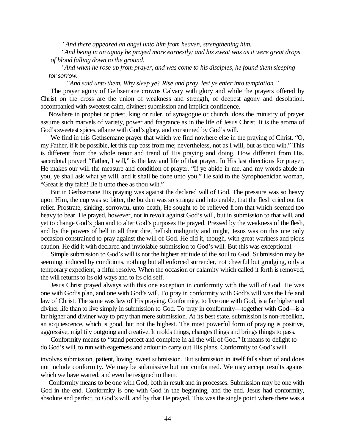*³And there appeared an angel unto him from heaven, strengthening him.*

*³And being in an agony he prayed more earnestly; and his sweat was as it were great drops of blood falling down to the ground.*

*³And when he rose up from prayer, and was come to his disciples, he found them sleeping for sorrow.*

*³And said unto them, Why sleep ye? Rise and pray, lest ye enter into temptation.´*

The prayer agony of Gethsemane crowns Calvary with glory and while the prayers offered by Christ on the cross are the union of weakness and strength, of deepest agony and desolation, accompanied with sweetest calm, divinest submission and implicit confidence.

Nowhere in prophet or priest, king or ruler, of synagogue or church, does the ministry of prayer assume such marvels of variety, power and fragrance as in the life of Jesus Christ. It is the aroma of God's sweetest spices, aflame with God's glory, and consumed by God's will.

We find in this Gethsemane prayer that which we find nowhere else in the praying of Christ. "O, my Father, if it be possible, let this cup pass from me; nevertheless, not as I will, but as thou wilt." This is different from the whole tenor and trend of His praying and doing. How different from His. sacerdotal prayer! "Father, I will," is the law and life of that prayer. In His last directions for prayer, He makes our will the measure and condition of prayer. "If ye abide in me, and my words abide in you, ye shall ask what ye will, and it shall be done unto you," He said to the Syrophoenician woman, "Great is thy faith! Be it unto thee as thou wilt."

But in Gethsemane His praying was against the declared will of God. The pressure was so heavy upon Him, the cup was so bitter, the burden was so strange and intolerable, that the flesh cried out for relief. Prostrate, sinking, sorrowful unto death, He sought to be relieved from that which seemed too heavy to bear. He prayed, however, not in revolt against God's will, but in submission to that will, and yet to change God's plan and to alter God's purposes He prayed. Pressed by the weakness of the flesh, and by the powers of hell in all their dire, hellish malignity and might, Jesus was on this one only occasion constrained to pray against the will of God. He did it, though, with great wariness and pious caution. He did it with declared and inviolable submission to God's will. But this was exceptional.

Simple submission to God's will is not the highest attitude of the soul to God. Submission may be seeming, induced by conditions, nothing but all enforced surrender, not cheerful but grudging, only a temporary expedient, a fitful resolve. When the occasion or calamity which called it forth is removed, the will returns to its old ways and to its old self.

Jesus Christ prayed always with this one exception in conformity with the will of God. He was one with God's plan, and one with God's will. To pray in conformity with God's will was the life and law of Christ. The same was law of His praying. Conformity, to live one with God, is a far higher and diviner life than to live simply in submission to God. To pray in conformity—together with God—is a far higher and diviner way to pray than mere submission. At its best state, submission is non-rebellion, an acquiescence, which is good, but not the highest. The most powerful form of praying is positive, aggressive, mightily outgoing and creative. It molds things, changes things and brings things to pass.

Conformity means to "stand perfect and complete in all the will of God." It means to delight to do God's will, to run with eagerness and ardour to carry out His plans. Conformity to God's will

involves submission, patient, loving, sweet submission. But submission in itself falls short of and does not include conformity. We may be submissive but not conformed. We may accept results against which we have warred, and even be resigned to them.

Conformity means to be one with God, both in result and in processes. Submission may be one with God in the end. Conformity is one with God in the beginning, and the end. Jesus had conformity, absolute and perfect, to God's will, and by that He prayed. This was the single point where there was a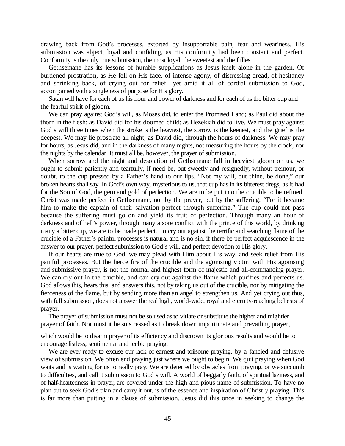drawing back from God's processes, extorted by insupportable pain, fear and weariness. His submission was abject, loyal and confiding, as His conformity had been constant and perfect. Conformity is the only true submission, the most loyal, the sweetest and the fullest.

Gethsemane has its lessons of humble supplications as Jesus knelt alone in the garden. Of burdened prostration, as He fell on His face, of intense agony, of distressing dread, of hesitancy and shrinking back, of crying out for relief—yet amid it all of cordial submission to God, accompanied with a singleness of purpose for His glory.

Satan will have for each of us his hour and power of darkness and for each of us the bitter cup and the fearful spirit of gloom.

We can pray against God's will, as Moses did, to enter the Promised Land; as Paul did about the thorn in the flesh; as David did for his doomed child; as Hezekiah did to live. We must pray against God's will three times when the stroke is the heaviest, the sorrow is the keenest, and the grief is the deepest. We may lie prostrate all night, as David did, through the hours of darkness. We may pray for hours, as Jesus did, and in the darkness of many nights, not measuring the hours by the clock, nor the nights by the calendar. It must all be, however, the prayer of submission.

When sorrow and the night and desolation of Gethsemane fall in heaviest gloom on us, we ought to submit patiently and tearfully, if need be, but sweetly and resignedly, without tremour, or doubt, to the cup pressed by a Father's hand to our lips. "Not my will, but thine, be done," our broken hearts shall say. In God's own way, mysterious to us, that cup has in its bitterest dregs, as it had for the Son of God, the gem and gold of perfection. We are to be put into the crucible to be refined. Christ was made perfect in Gethsemane, not by the prayer, but by the suffering. "For it became him to make the captain of their salvation perfect through suffering." The cup could not pass because the suffering must go on and yield its fruit of perfection. Through many an hour of darkness and of hell's power, through many a sore conflict with the prince of this world, by drinking many a bitter cup, we are to be made perfect. To cry out against the terrific and searching flame of the crucible of a Father's painful processes is natural and is no sin, if there be perfect acquiescence in the answer to our prayer, perfect submission to God's will, and perfect devotion to His glory.

If our hearts are true to God, we may plead with Him about His way, and seek relief from His painful processes. But the fierce fire of the crucible and the agonising victim with His agonising and submissive prayer, is not the normal and highest form of majestic and all-commanding prayer. We can cry out in the crucible, and can cry out against the flame which purifies and perfects us. God allows this, hears this, and answers this, not by taking us out of the crucible, nor by mitigating the fierceness of the flame, but by sending more than an angel to strengthen us. And yet crying out thus, with full submission, does not answer the real high, world-wide, royal and eternity-reaching behests of prayer.

The prayer of submission must not be so used as to vitiate or substitute the higher and mightier prayer of faith. Nor must it be so stressed as to break down importunate and prevailing prayer,

which would be to disarm prayer of its efficiency and discrown its glorious results and would be to encourage listless, sentimental and feeble praying.

We are ever ready to excuse our lack of earnest and toilsome praying, by a fancied and delusive view of submission. We often end praying just where we ought to begin. We quit praying when God waits and is waiting for us to really pray. We are deterred by obstacles from praying, or we succumb to difficulties, and call it submission to God's will. A world of beggarly faith, of spiritual laziness, and of half-heartedness in prayer, are covered under the high and pious name of submission. To have no plan but to seek God's plan and carry it out, is of the essence and inspiration of Christly praying. This is far more than putting in a clause of submission. Jesus did this once in seeking to change the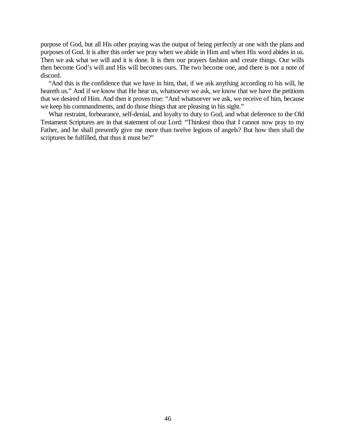purpose of God, but all His other praying was the output of being perfectly at one with the plans and purposes of God. It is after this order we pray when we abide in Him and when His word abides in us. Then we ask what we will and it is done. It is then our prayers fashion and create things. Our wills then become God's will and His will becomes ours. The two become one, and there is not a note of discord.

"And this is the confidence that we have in him, that, if we ask anything according to his will, he heareth us." And if we know that He hear us, whatsoever we ask, we know that we have the petitions that we desired of Him. And then it proves true: "And whatsoever we ask, we receive of him, because we keep his commandments, and do those things that are pleasing in his sight."

What restraint, forbearance, self-denial, and loyalty to duty to God, and what deference to the Old Testament Scriptures are in that statement of our Lord: "Thinkest thou that I cannot now pray to my Father, and he shall presently give me more than twelve legions of angels? But how then shall the scriptures be fulfilled, that thus it must be?"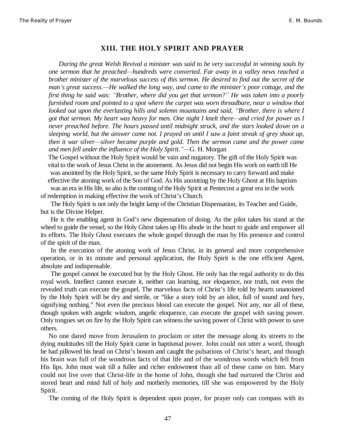#### **XIII. THE HOLY SPIRIT AND PRAYER**

*During the great Welsh Revival a minister was said to be very successful in winning souls by one sermon that he preached²hundreds were converted. Far away in a valley news reached a brother minister of the marvelous success of this sermon. He desired to find out the secret of the man¶s great success.²He walked the long way, and came to the minister¶s poor cottage, and the first thing he said was: ³Brother, where did you get that sermon?´ He was taken into a poorly furnished room and pointed to a spot where the carpet was worn threadbare, near a window that looked out upon the everlasting hills and solemn mountains and said, "Brother, there is where I got that sermon. My heart was heavy for men. One night I knelt there—and cried for power as I never preached before. The hours passed until midnight struck, and the stars looked down on a sleeping world, but the answer came not. I prayed on until I saw a faint streak of grey shoot up, then it war silver—silver became purple and gold. Then the sermon came and the power came and men fell under the influence of the Holy Spirit.*<sup>*''*</sup>—G. H. Morgan

The Gospel without the Holy Spirit would be vain and nugatory. The gift of the Holy Spirit was vital to the work of Jesus Christ in the atonement. As Jesus did not begin His work on earth till He was anointed by the Holy Spirit, so the same Holy Spirit is necessary to carry forward and make effective the atoning work of the Son of God. As His anointing by the Holy Ghost at His baptism

was an era in His life, so also is the coming of the Holy Spirit at Pentecost a great era in the work of redemption in making effective the work of Christ's Church.

The Holy Spirit is not only the bright lamp of the Christian Dispensation, its Teacher and Guide, but is the Divine Helper.

He is the enabling agent in God's new dispensation of doing. As the pilot takes his stand at the wheel to guide the vessel, so the Holy Ghost takes up His abode in the heart to guide and empower all its efforts. The Holy Ghost executes the whole gospel through the man by His presence and control of the spirit of the man.

In the execution of the atoning work of Jesus Christ, in its general and more comprehensive operation, or in its minute and personal application, the Holy Spirit is the one efficient Agent, absolute and indispensable.

The gospel cannot be executed but by the Holy Ghost. He only has the regal authority to do this royal work. Intellect cannot execute it, neither can learning, nor eloquence, nor truth, not even the revealed truth can execute the gospel. The marvelous facts of Christ's life told by hearts unanointed by the Holy Spirit will be dry and sterile, or "like a story told by an idiot, full of sound and fury, signifying nothing." Not even the precious blood can execute the gospel. Not any, nor all of these, though spoken with angelic wisdom, angelic eloquence, can execute the gospel with saving power. Only tongues set on fire by the Holy Spirit can witness the saving power of Christ with power to save others.

No one dared move from Jerusalem to proclaim or utter the message along its streets to the dying multitudes till the Holy Spirit came in baptismal power. John could not utter a word, though he had pillowed his head on Christ's bosom and caught the pulsations of Christ's heart, and though his brain was full of the wondrous facts of that life and of the wondrous words which fell from His lips. John must wait till a fuller and richer endowment than all of these came on him. Mary could not live over that Christ-life in the home of John, though she had nurtured the Christ and stored heart and mind full of holy and motherly memories, till she was empowered by the Holy Spirit.

The coming of the Holy Spirit is dependent upon prayer, for prayer only can compass with its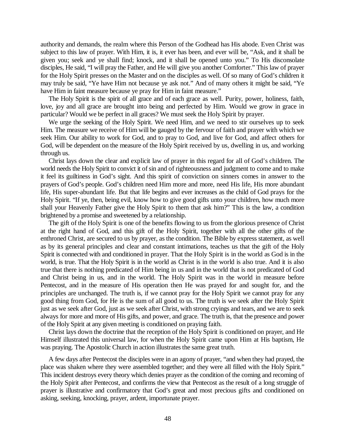authority and demands, the realm where this Person of the Godhead has His abode. Even Christ was subject to this law of prayer. With Him, it is, it ever has been, and ever will be, "Ask, and it shall be given you; seek and ye shall find; knock, and it shall be opened unto you." To His disconsolate disciples, He said, "I will pray the Father, and He will give you another Comforter." This law of prayer for the Holy Spirit presses on the Master and on the disciples as well. Of so many of God's children it may truly be said, "Ye have Him not because ye ask not." And of many others it might be said, "Ye have Him in faint measure because ye pray for Him in faint measure."

The Holy Spirit is the spirit of all grace and of each grace as well. Purity, power, holiness, faith, love, joy and all grace are brought into being and perfected by Him. Would we grow in grace in particular? Would we be perfect in all graces? We must seek the Holy Spirit by prayer.

We urge the seeking of the Holy Spirit. We need Him, and we need to stir ourselves up to seek Him. The measure we receive of Him will be gauged by the fervour of faith and prayer with which we seek Him. Our ability to work for God, and to pray to God, and live for God, and affect others for God, will be dependent on the measure of the Holy Spirit received by us, dwelling in us, and working through us.

Christ lays down the clear and explicit law of prayer in this regard for all of God's children. The world needs the Holy Spirit to convict it of sin and of righteousness and judgment to come and to make it feel its guiltiness in God's sight. And this spirit of conviction on sinners comes in answer to the prayers of God's people. God's children need Him more and more, need His life, His more abundant life, His super-abundant life. But that life begins and ever increases as the child of God prays for the Holy Spirit. "If ye, then, being evil, know how to give good gifts unto your children, how much more shall your Heavenly Father give the Holy Spirit to them that ask him?" This is the law, a condition brightened by a promise and sweetened by a relationship.

The gift of the Holy Spirit is one of the benefits flowing to us from the glorious presence of Christ at the right hand of God, and this gift of the Holy Spirit, together with all the other gifts of the enthroned Christ, are secured to us by prayer, as the condition. The Bible by express statement, as well as by its general principles and clear and constant intimations, teaches us that the gift of the Holy Spirit is connected with and conditioned in prayer. That the Holy Spirit is in the world as God is in the world, is true. That the Holy Spirit is in the world as Christ is in the world is also true. And it is also true that there is nothing predicated of Him being in us and in the world that is not predicated of God and Christ being in us, and in the world. The Holy Spirit was in the world in measure before Pentecost, and in the measure of His operation then He was prayed for and sought for, and the principles are unchanged. The truth is, if we cannot pray for the Holy Spirit we cannot pray for any good thing from God, for He is the sum of all good to us. The truth is we seek after the Holy Spirit just as we seek after God, just as we seek after Christ, with strong cryings and tears, and we are to seek always for more and more of His gifts, and power, and grace. The truth is, that the presence and power of the Holy Spirit at any given meeting is conditioned on praying faith.

Christ lays down the doctrine that the reception of the Holy Spirit is conditioned on prayer, and He Himself illustrated this universal law, for when the Holy Spirit came upon Him at His baptism, He was praying. The Apostolic Church in action illustrates the same great truth.

A few days after Pentecost the disciples were in an agony of prayer, "and when they had prayed, the place was shaken where they were assembled together; and they were all filled with the Holy Spirit." This incident destroys every theory which denies prayer as the condition of the coming and recoming of the Holy Spirit after Pentecost, and confirms the view that Pentecost as the result of a long struggle of prayer is illustrative and confirmatory that God's great and most precious gifts and conditioned on asking, seeking, knocking, prayer, ardent, importunate prayer.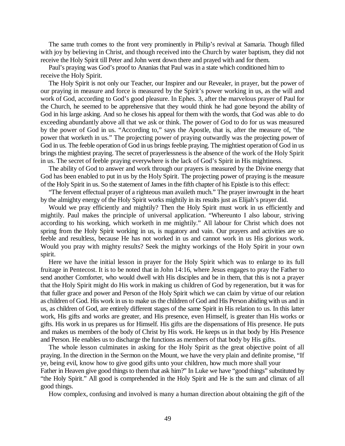The same truth comes to the front very prominently in Philip's revival at Samaria. Though filled with joy by believing in Christ, and though received into the Church by water baptism, they did not receive the Holy Spirit till Peter and John went down there and prayed with and for them.

Paul's praying was God's proof to Ananias that Paul was in a state which conditioned him to receive the Holy Spirit.

The Holy Spirit is not only our Teacher, our Inspirer and our Revealer, in prayer, but the power of our praying in measure and force is measured by the Spirit's power working in us, as the will and work of God, according to God's good pleasure. In Ephes. 3, after the marvelous prayer of Paul for the Church, he seemed to be apprehensive that they would think he had gone beyond the ability of God in his large asking. And so he closes his appeal for them with the words, that God was able to do exceeding abundantly above all that we ask or think. The power of God to do for us was measured by the power of God in us. "According to," says the Apostle, that is, after the measure of, "the power that worketh in us." The projecting power of praying outwardly was the projecting power of God in us. The feeble operation of God in us brings feeble praying. The mightiest operation of God in us brings the mightiest praying. The secret of prayerlessness is the absence of the work of the Holy Spirit in us. The secret of feeble praying everywhere is the lack of God's Spirit in His mightiness.

The ability of God to answer and work through our prayers is measured by the Divine energy that God has been enabled to put in us by the Holy Spirit. The projecting power of praying is the measure of the Holy Spirit in us. So the statement of James in the fifth chapter of his Epistle is to this effect:

"The fervent effectual prayer of a righteous man availeth much." The prayer inwrought in the heart by the almighty energy of the Holy Spirit works mightily in its results just as Elijah's prayer did.

Would we pray efficiently and mightily? Then the Holy Spirit must work in us efficiently and mightily. Paul makes the principle of universal application. "Whereunto I also labour, striving according to his working, which worketh in me mightily." All labour for Christ which does not spring from the Holy Spirit working in us, is nugatory and vain. Our prayers and activities are so feeble and resultless, because He has not worked in us and cannot work in us His glorious work. Would you pray with mighty results? Seek the mighty workings of the Holy Spirit in your own spirit.

Here we have the initial lesson in prayer for the Holy Spirit which was to enlarge to its full fruitage in Pentecost. It is to be noted that in John 14:16, where Jesus engages to pray the Father to send another Comforter, who would dwell with His disciples and be in them, that this is not a prayer that the Holy Spirit might do His work in making us children of God by regeneration, but it was for that fuller grace and power and Person of the Holy Spirit which we can claim by virtue of our relation as children of God. His work in us to make us the children of God and His Person abiding with us and in us, as children of God, are entirely different stages of the same Spirit in His relation to us. In this latter work, His gifts and works are greater, and His presence, even Himself, is greater than His works or gifts. His work in us prepares us for Himself. His gifts are the dispensations of His presence. He puts and makes us members of the body of Christ by His work. He keeps us in that body by His Presence and Person. He enables us to discharge the functions as members of that body by His gifts.

The whole lesson culminates in asking for the Holy Spirit as the great objective point of all praying. In the direction in the Sermon on the Mount, we have the very plain and definite promise, "If ye, being evil, know how to give good gifts unto your children, how much more shall your

Father in Heaven give good things to them that ask him?" In Luke we have "good things" substituted by "the Holy Spirit." All good is comprehended in the Holy Spirit and He is the sum and climax of all good things.

How complex, confusing and involved is many a human direction about obtaining the gift of the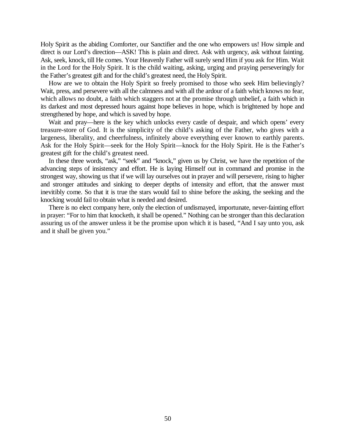Holy Spirit as the abiding Comforter, our Sanctifier and the one who empowers us! How simple and direct is our Lord's direction—ASK! This is plain and direct. Ask with urgency, ask without fainting. Ask, seek, knock, till He comes. Your Heavenly Father will surely send Him if you ask for Him. Wait in the Lord for the Holy Spirit. It is the child waiting, asking, urging and praying perseveringly for the Father's greatest gift and for the child's greatest need, the Holy Spirit.

How are we to obtain the Holy Spirit so freely promised to those who seek Him believingly? Wait, press, and persevere with all the calmness and with all the ardour of a faith which knows no fear, which allows no doubt, a faith which staggers not at the promise through unbelief, a faith which in its darkest and most depressed hours against hope believes in hope, which is brightened by hope and strengthened by hope, and which is saved by hope.

Wait and pray—here is the key which unlocks every castle of despair, and which opens' every treasure-store of God. It is the simplicity of the child's asking of the Father, who gives with a largeness, liberality, and cheerfulness, infinitely above everything ever known to earthly parents. Ask for the Holy Spirit—seek for the Holy Spirit—knock for the Holy Spirit. He is the Father's greatest gift for the child's greatest need.

In these three words, "ask," "seek" and "knock," given us by Christ, we have the repetition of the advancing steps of insistency and effort. He is laying Himself out in command and promise in the strongest way, showing us that if we will lay ourselves out in prayer and will persevere, rising to higher and stronger attitudes and sinking to deeper depths of intensity and effort, that the answer must inevitibly come. So that it is true the stars would fail to shine before the asking, the seeking and the knocking would fail to obtain what is needed and desired.

There is no elect company here, only the election of undismayed, importunate, never-fainting effort in prayer: "For to him that knocketh, it shall be opened." Nothing can be stronger than this declaration assuring us of the answer unless it be the promise upon which it is based, "And I say unto you, ask and it shall be given you."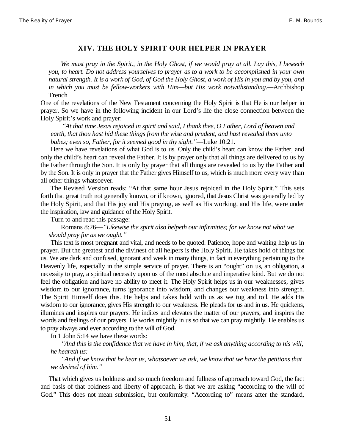#### **XIV. THE HOLY SPIRIT OUR HELPER IN PRAYER**

*We must pray in the Spirit., in the Holy Ghost, if we would pray at all. Lay this, I beseech you, to heart. Do not address yourselves to prayer as to a work to be accomplished in your own natural strength. It is a work of God, of God the Holy Ghost, a work of His in you and by you, and in which you must be fellow-workers with Him—but His work notwithstanding.*—Archbishop Trench

One of the revelations of the New Testament concerning the Holy Spirit is that He is our helper in prayer. So we have in the following incident in our Lord's life the close connection between the Holy Spirit's work and prayer:

*³At that time Jesus rejoiced in spirit and said, I thank thee, O Father, Lord of heaven and earth, that thou hast hid these things from the wise and prudent, and hast revealed them unto babes; even so, Father, for it seemed good in thy sight.´*—Luke 10:21.

Here we have revelations of what God is to us. Only the child's heart can know the Father, and only the child's heart can reveal the Father. It is by prayer only that all things are delivered to us by the Father through the Son. It is only by prayer that all things are revealed to us by the Father and by the Son. It is only in prayer that the Father gives Himself to us, which is much more every way than all other things whatsoever.

The Revised Version reads: "At that same hour Jesus rejoiced in the Holy Spirit." This sets forth that great truth not generally known, or if known, ignored, that Jesus Christ was generally led by the Holy Spirit, and that His joy and His praying, as well as His working, and His life, were under the inspiration, law and guidance of the Holy Spirit.

Turn to and read this passage:

Romans 8:26—*³Likewise the spirit also helpeth our infirmities; for we know not what we should pray for as we ought.´*

This text is most pregnant and vital, and needs to be quoted. Patience, hope and waiting help us in prayer. But the greatest and the divinest of all helpers is the Holy Spirit. He takes hold of things for us. We are dark and confused, ignorant and weak in many things, in fact in everything pertaining to the Heavenly life, especially in the simple service of prayer. There is an "ought" on us, an obligation, a necessity to pray, a spiritual necessity upon us of the most absolute and imperative kind. But we do not feel the obligation and have no ability to meet it. The Holy Spirit helps us in our weaknesses, gives wisdom to our ignorance, turns ignorance into wisdom, and changes our weakness into strength. The Spirit Himself does this. He helps and takes hold with us as we tug and toil. He adds His wisdom to our ignorance, gives His strength to our weakness. He pleads for us and in us. He quickens, illumines and inspires our prayers. He indites and elevates the matter of our prayers, and inspires the words and feelings of our prayers. He works mightily in us so that we can pray mightily. He enables us to pray always and ever according to the will of God.

In 1 John 5:14 we have these words:

*³And this is the confidence that we have in him, that, if we ask anything according to his will, he heareth us:*

*³And if we know that he hear us, whatsoever we ask, we know that we have the petitions that we desired of him.´*

That which gives us boldness and so much freedom and fullness of approach toward God, the fact and basis of that boldness and liberty of approach, is that we are asking "according to the will of God." This does not mean submission, but conformity. "According to" means after the standard,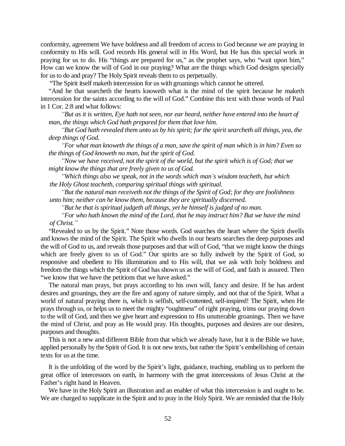conformity, agreement We have boldness and all freedom of access to God because we are praying in conformity to His will. God records His general will in His Word, but He has this special work in praying for us to do. His "things are prepared for us," as the prophet says, who "wait upon him," How can we know the will of God in our praying? What are the things which God designs specially for us to do and pray? The Holy Spirit reveals them to us perpetually.

"The Spirit itself maketh intercession for us with groanings which cannot be uttered.

"And he that searcheth the hearts knoweth what is the mind of the spirit because he maketh intercession for the saints according to the will of God." Combine this text with those words of Paul in 1 Cor. 2:8 and what follows:

*³But as it is written, Eye hath not seen, nor ear heard, neither have entered into the heart of man, the things which God hath prepared for them that love him.*

*³But God hath revealed them unto us by his spirit; for the spirit searcheth all things, yea, the deep things of God.*

*³For what man knoweth the things of a man, save the spirit of man which is in him? Even so the things of God knoweth no man, but the spirit of God.*

*³Now we have received, not the spirit of the world, but the spirit which is of God; that we might know the things that are freely given to us of God.*

*³Which things also we speak, not in the words which man¶s wisdom teacheth, but which the Holy Ghost teacheth, comparing spiritual things with spiritual.*

*³But the natural man receiveth not the things of the Spirit of God; for they are foolishness unto him; neither can he know them, because they are spiritually discerned.*

*³But he that is spiritual judgeth all things, yet he himself is judged of no man.*

*³For who hath known the mind of the Lord, that he may instruct him? But we have the mind of Christ.´*

"Revealed to us by the Spirit." Note those words. God searches the heart where the Spirit dwells and knows the mind of the Spirit. The Spirit who dwells in our hearts searches the deep purposes and the will of God to us, and reveals those purposes and that will of God, "that we might know the things which are freely given to us of God." Our spirits are so fully indwelt by the Spirit of God, so responsive and obedient to His illumination and to His will, that we ask with holy boldness and freedom the things which the Spirit of God has shown us as the will of God, and faith is assured. Then "we know that we have the petitions that we have asked."

The natural man prays, but prays according to his own will, fancy and desire. If he has ardent desires and groanings, they are the fire and agony of nature simply, and not that of the Spirit. What a world of natural praying there is, which is selfish, self-contented, self-inspired! The Spirit, when He prays through us, or helps us to meet the mighty "oughtness" of right praying, trims our praying down to the will of God, and then we give heart and expression to His unutterable groanings. Then we have the mind of Christ, and pray as He would pray. His thoughts, purposes and desires are our desires, purposes and thoughts.

This is not a new and different Bible from that which we already have, but it is the Bible we have, applied personally by the Spirit of God. It is not new texts, but rather the Spirit's embellishing of certain texts for us at the time.

It is the unfolding of the word by the Spirit's light, guidance, teaching, enabling us to perform the great office of intercessors on earth, in harmony with the great intercessions of Jesus Christ at the Father's right hand in Heaven.

We have in the Holy Spirit an illustration and an enabler of what this intercession is and ought to be. We are charged to supplicate in the Spirit and to pray in the Holy Spirit. We are reminded that the Holy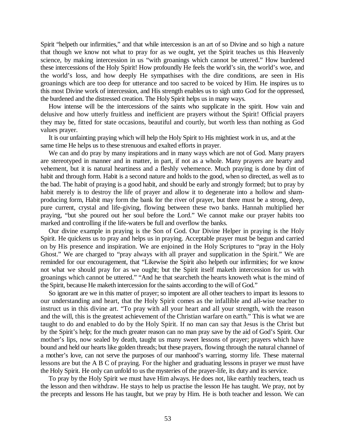Spirit "helpeth our infirmities," and that while intercession is an art of so Divine and so high a nature that though we know not what to pray for as we ought, yet the Spirit teaches us this Heavenly science, by making intercession in us "with groanings which cannot be uttered." How burdened these intercessions of the Holy Spirit! How profoundly He feels the world's sin, the world's woe, and the world's loss, and how deeply He sympathises with the dire conditions, are seen in His groanings which are too deep for utterance and too sacred to be voiced by Him. He inspires us to this most Divine work of intercession, and His strength enables us to sigh unto God for the oppressed, the burdened and the distressed creation. The Holy Spirit helps us in many ways.

How intense will be the intercessions of the saints who supplicate in the spirit. How vain and delusive and how utterly fruitless and inefficient are prayers without the Spirit! Official prayers they may be, fitted for state occasions, beautiful and courtly, but worth less than nothing as God values prayer.

It is our unfainting praying which will help the Holy Spirit to His mightiest work in us, and at the same time He helps us to these strenuous and exalted efforts in prayer.

We can and do pray by many inspirations and in many ways which are not of God. Many prayers are stereotyped in manner and in matter, in part, if not as a whole. Many prayers are hearty and vehement, but it is natural heartiness and a fleshly vehemence. Much praying is done by dint of habit and through form. Habit is a second nature and holds to the good, when so directed, as well as to the bad. The habit of praying is a good habit, and should be early and strongly formed; but to pray by habit merely is to destroy the life of prayer and allow it to degenerate into a hollow and shamproducing form, Habit may form the bank for the river of prayer, but there must be a strong, deep, pure current, crystal and life-giving, flowing between these two banks. Hannah multiplied her praying, "but she poured out her soul before the Lord." We cannot make our prayer habits too marked and controlling if the life-waters be full and overflow the banks.

Our divine example in praying is the Son of God. Our Divine Helper in praying is the Holy Spirit. He quickens us to pray and helps us in praying. Acceptable prayer must be begun and carried on by His presence and inspiration. We are enjoined in the Holy Scriptures to "pray in the Holy Ghost." We are charged to "pray always with all prayer and supplication in the Spirit." We are reminded for our encouragement, that "Likewise the Spirit also helpeth our infirmities; for we know not what we should pray for as we ought; but the Spirit itself maketh intercession for us with groanings which cannot be uttered." "And he that searcheth the hearts knoweth what is the mind of the Spirit, because He maketh intercession for the saints according to the will of God."

So ignorant are we in this matter of prayer; so impotent are all other teachers to impart its lessons to our understanding and heart, that the Holy Spirit comes as the infallible and all-wise teacher to instruct us in this divine art. "To pray with all your heart and all your strength, with the reason and the will, this is the greatest achievement of the Christian warfare on earth." This is what we are taught to do and enabled to do by the Holy Spirit. If no man can say that Jesus is the Christ but by the Spirit's help; for the much greater reason can no man pray save by the aid of God's Spirit. Our mother's lips, now sealed by death, taught us many sweet lessons of prayer; prayers which have bound and held our hearts like golden threads; but these prayers, flowing through the natural channel of a mother's love, can not serve the purposes of our manhood's warring, stormy life. These maternal lessons are but the A B C of praying. For the higher and graduating lessons in prayer we must have the Holy Spirit. He only can unfold to us the mysteries of the prayer-life, its duty and its service.

To pray by the Holy Spirit we must have Him always. He does not, like earthly teachers, teach us the lesson and then withdraw. He stays to help us practise the lesson He has taught. We pray, not by the precepts and lessons He has taught, but we pray by Him. He is both teacher and lesson. We can